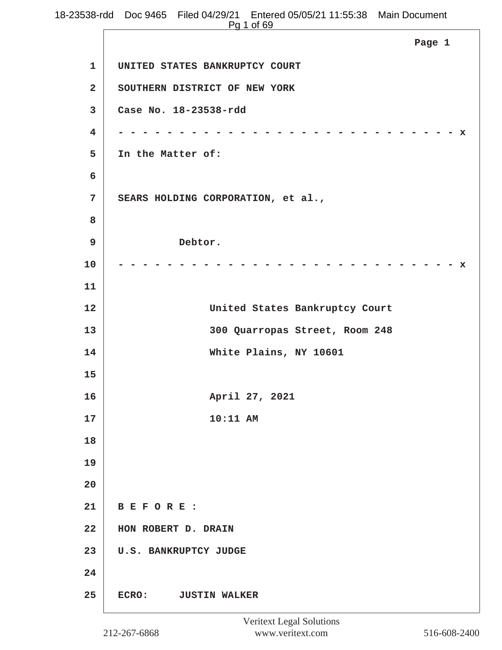|                         | 18-23538-rdd Doc 9465 Filed 04/29/21 Entered 05/05/21 11:55:38 Main Document<br>Pg 1 of 69 |
|-------------------------|--------------------------------------------------------------------------------------------|
|                         | Page 1                                                                                     |
| $\mathbf{1}$            | UNITED STATES BANKRUPTCY COURT                                                             |
| $\mathbf{2}$            | SOUTHERN DISTRICT OF NEW YORK                                                              |
| 3                       | Case No. 18-23538-rdd                                                                      |
| $\overline{\mathbf{4}}$ | x                                                                                          |
| 5                       | In the Matter of:                                                                          |
| 6                       |                                                                                            |
| 7                       | SEARS HOLDING CORPORATION, et al.,                                                         |
| 8                       |                                                                                            |
| 9                       | Debtor.                                                                                    |
| 10                      | x                                                                                          |
| 11                      |                                                                                            |
| 12                      | United States Bankruptcy Court                                                             |
| 13                      | 300 Quarropas Street, Room 248                                                             |
| 14                      | White Plains, NY 10601                                                                     |
| 15                      |                                                                                            |
| 16                      | April 27, 2021                                                                             |
| 17                      | 10:11 AM                                                                                   |
| 18                      |                                                                                            |
| 19                      |                                                                                            |
| 20                      |                                                                                            |
| 21                      | BEFORE:                                                                                    |
| 22                      | HON ROBERT D. DRAIN                                                                        |
| 23                      | <b>U.S. BANKRUPTCY JUDGE</b>                                                               |
| 24                      |                                                                                            |
| 25                      | ECRO:<br><b>JUSTIN WALKER</b>                                                              |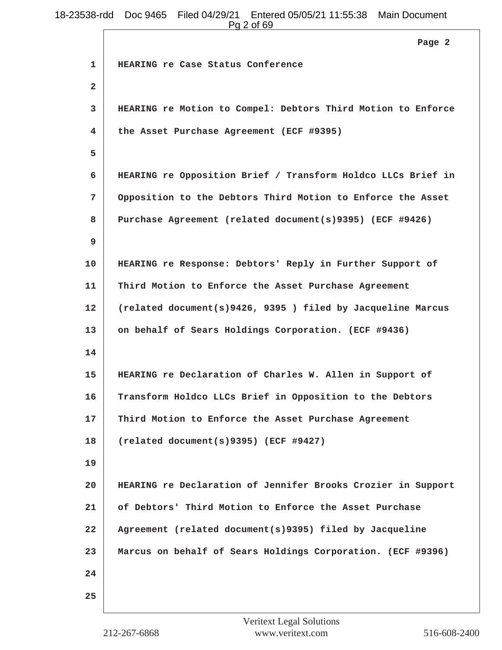|                | Pg 2 of 69                                                   |
|----------------|--------------------------------------------------------------|
|                | Page 2                                                       |
| 1              | HEARING re Case Status Conference                            |
| $\overline{a}$ |                                                              |
| 3              | HEARING re Motion to Compel: Debtors Third Motion to Enforce |
| 4              | the Asset Purchase Agreement (ECF #9395)                     |
| 5              |                                                              |
| 6              | HEARING re Opposition Brief / Transform Holdco LLCs Brief in |
| 7              | Opposition to the Debtors Third Motion to Enforce the Asset  |
| 8              | Purchase Agreement (related document(s)9395) (ECF #9426)     |
| 9              |                                                              |
| 10             | HEARING re Response: Debtors' Reply in Further Support of    |
| 11             | Third Motion to Enforce the Asset Purchase Agreement         |
| 12             | (related document(s)9426, 9395) filed by Jacqueline Marcus   |
| 13             | on behalf of Sears Holdings Corporation. (ECF #9436)         |
| 14             |                                                              |
| 15             | HEARING re Declaration of Charles W. Allen in Support of     |
| 16             | Transform Holdco LLCs Brief in Opposition to the Debtors     |
| 17             | Third Motion to Enforce the Asset Purchase Agreement         |
| 18             | (related document(s)9395) (ECF #9427)                        |
| 19             |                                                              |
| 20             | HEARING re Declaration of Jennifer Brooks Crozier in Support |
| 21             | of Debtors' Third Motion to Enforce the Asset Purchase       |
| 22             | Agreement (related document(s)9395) filed by Jacqueline      |
| 23             | Marcus on behalf of Sears Holdings Corporation. (ECF #9396)  |
| 24             |                                                              |
| 25             |                                                              |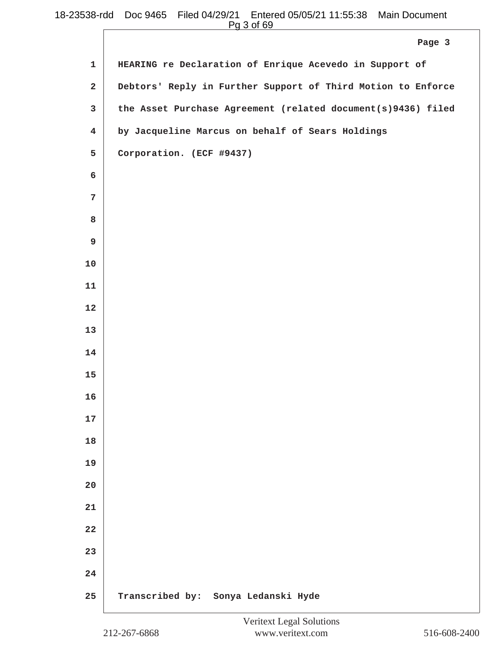|                         | <u>. y o or oo </u>                                          |
|-------------------------|--------------------------------------------------------------|
|                         | Page 3                                                       |
| $\mathbf{1}$            | HEARING re Declaration of Enrique Acevedo in Support of      |
| $\mathbf{2}$            | Debtors' Reply in Further Support of Third Motion to Enforce |
| 3                       | the Asset Purchase Agreement (related document(s)9436) filed |
| $\overline{\mathbf{4}}$ | by Jacqueline Marcus on behalf of Sears Holdings             |
| 5                       | Corporation. (ECF #9437)                                     |
| 6                       |                                                              |
| $7\phantom{.}$          |                                                              |
| 8                       |                                                              |
| $\boldsymbol{9}$        |                                                              |
| 10                      |                                                              |
| 11                      |                                                              |
| 12                      |                                                              |
| 13                      |                                                              |
| 14                      |                                                              |
| 15                      |                                                              |
| 16                      |                                                              |
| 17                      |                                                              |
| 18                      |                                                              |
| 19                      |                                                              |
| 20                      |                                                              |
| 21                      |                                                              |
| 22                      |                                                              |
| 23                      |                                                              |
| 24                      |                                                              |
| 25                      | Transcribed by: Sonya Ledanski Hyde                          |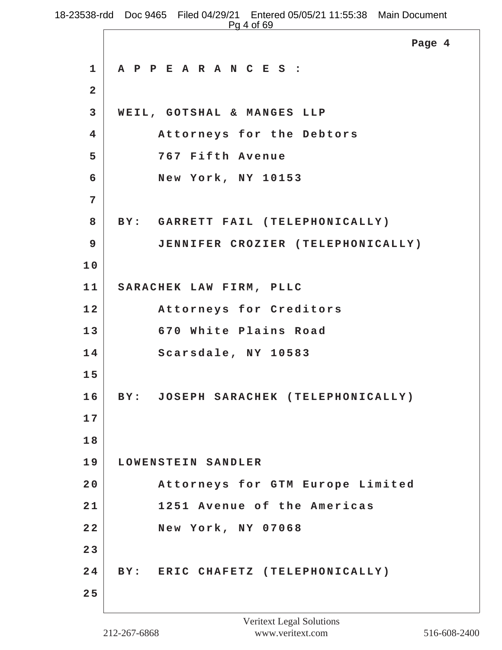|                         | 538-rdd Doc 9465 Filed 04/29/21 Entered 05/05/21 11:55:38 Main Document<br>Pg 4 of 69 |  |
|-------------------------|---------------------------------------------------------------------------------------|--|
|                         | Page 4                                                                                |  |
| $\mathbf 1$             | A P P E A R A N C E S :                                                               |  |
| $\overline{\mathbf{2}}$ |                                                                                       |  |
| $\mathbf{3}$            | WEIL, GOTSHAL & MANGES LLP                                                            |  |
| $\overline{4}$          | Attorneys for the Debtors                                                             |  |
| 5                       | 767 Fifth Avenue                                                                      |  |
| 6                       | New York, NY 10153                                                                    |  |
| 7                       |                                                                                       |  |
| 8                       | BY: GARRETT FAIL (TELEPHONICALLY)                                                     |  |
| 9                       | JENNIFER CROZIER (TELEPHONICALLY)                                                     |  |
| 10                      |                                                                                       |  |
| 11                      | SARACHEK LAW FIRM, PLLC                                                               |  |
| 12                      | Attorneys for Creditors                                                               |  |
| 13                      | 670 White Plains Road                                                                 |  |
| 14                      | Scarsdale, NY 10583                                                                   |  |
| 15                      |                                                                                       |  |
| 16                      | BY: JOSEPH SARACHEK (TELEPHONICALLY)                                                  |  |
| 17                      |                                                                                       |  |
| 18                      |                                                                                       |  |
| 19                      | LOWENSTEIN SANDLER                                                                    |  |
| 20                      | Attorneys for GTM Europe Limited                                                      |  |
| 21                      | 1251 Avenue of the Americas                                                           |  |
| 22                      | New York, NY 07068                                                                    |  |
| 23                      |                                                                                       |  |
| 24                      | BY: ERIC CHAFETZ (TELEPHONICALLY)                                                     |  |
| 25                      |                                                                                       |  |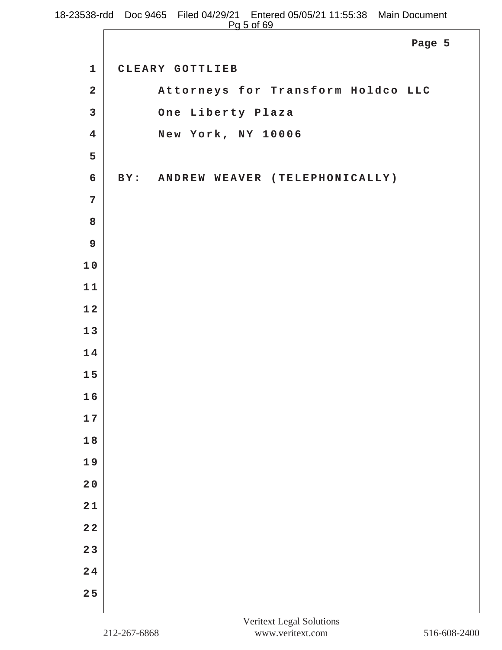|                         | 18-23538-rdd Doc 9465 Filed 04/29/21 Entered 05/05/21 11:55:38 Main Document<br>Pg 5 of 69 |
|-------------------------|--------------------------------------------------------------------------------------------|
|                         | Page 5                                                                                     |
| $\mathbf{1}$            | CLEARY GOTTLIEB                                                                            |
| $\overline{2}$          | Attorneys for Transform Holdco LLC                                                         |
| $\overline{3}$          | One Liberty Plaza                                                                          |
| $\overline{\mathbf{4}}$ | New York, NY 10006                                                                         |
| 5                       |                                                                                            |
| 6                       | BY: ANDREW WEAVER (TELEPHONICALLY)                                                         |
| $\overline{7}$          |                                                                                            |
| 8                       |                                                                                            |
| 9                       |                                                                                            |
| 10                      |                                                                                            |
| 11                      |                                                                                            |
| 12                      |                                                                                            |

**1 3**

**1 4**

**1 5**

**1 6**

**1 7**

**1 8**

**1 9**

**2 0**

**2 1**

**2 2**

**2 3**

**2 4**

**2 5**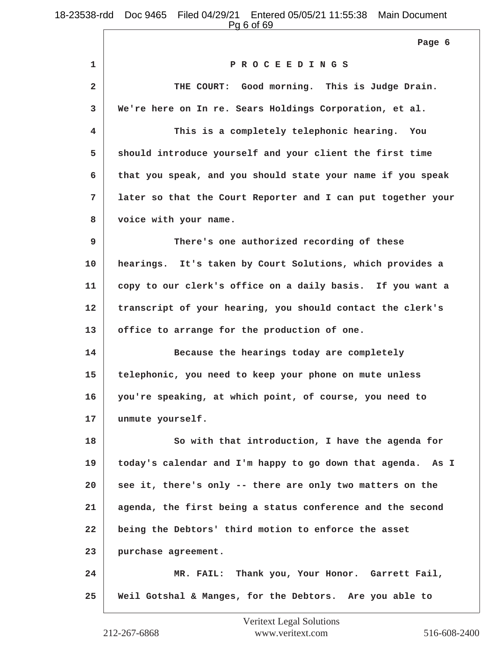Pg 6 of 69

**1 P R O C E E D I N G S 2 THE COURT: Good morning. This is Judge Drain. 3 We're here on In re. Sears Holdings Corporation, et al. 4 This is a completely telephonic hearing. You 5 should introduce yourself and your client the first time 6 that you speak, and you should state your name if you speak 7 later so that the Court Reporter and I can put together your 8 voice with your name. 9 There's one authorized recording of these 10 hearings. It's taken by Court Solutions, which provides a 11 copy to our clerk's office on a daily basis. If you want a 12 transcript of your hearing, you should contact the clerk's 13 office to arrange for the production of one. 14 Because the hearings today are completely 15 telephonic, you need to keep your phone on mute unless 16 you're speaking, at which point, of course, you need to 17 unmute yourself. 18** So with that introduction, I have the agenda for **19 today's calendar and I'm happy to go down that agenda. As I 20 see it, there's only -- there are only two matters on the 21 agenda, the first being a status conference and the second 22 being the Debtors' third motion to enforce the asset 23 purchase agreement. 24 MR. FAIL: Thank you, Your Honor. Garrett Fail, 25 Weil Gotshal & Manges, for the Debtors. Are you able to Page 6**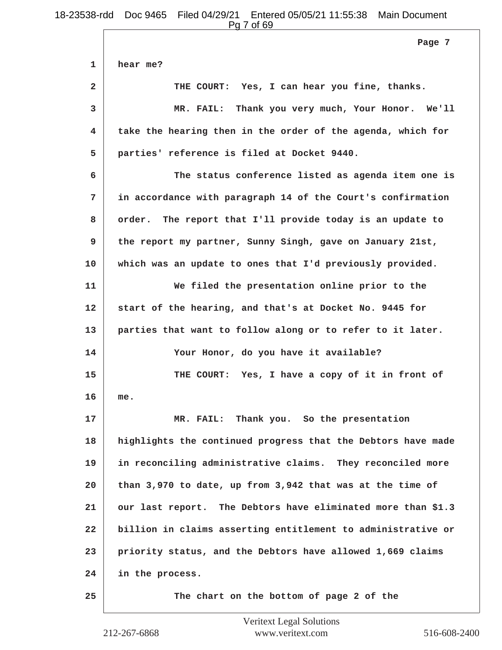**1 hear me? 2 THE COURT: Yes, I can hear you fine, thanks. 3 MR. FAIL: Thank you very much, Your Honor. We'll 4 take the hearing then in the order of the agenda, which for 5 parties' reference is filed at Docket 9440. 6 The status conference listed as agenda item one is 7 in accordance with paragraph 14 of the Court's confirmation 8 order. The report that I'll provide today is an update to 9 the report my partner, Sunny Singh, gave on January 21st, 10 which was an update to ones that I'd previously provided. 11 We filed the presentation online prior to the 12 start of the hearing, and that's at Docket No. 9445 for 13 parties that want to follow along or to refer to it later. 14 Your Honor, do you have it available? 15 THE COURT: Yes, I have a copy of it in front of 16 me. 17 MR. FAIL: Thank you. So the presentation 18 highlights the continued progress that the Debtors have made 19 in reconciling administrative claims. They reconciled more 20 than 3,970 to date, up from 3,942 that was at the time of 21 our last report. The Debtors have eliminated more than \$1.3 22 billion in claims asserting entitlement to administrative or 23 priority status, and the Debtors have allowed 1,669 claims 24 in the process. 25 The chart on the bottom of page 2 of the Page 7**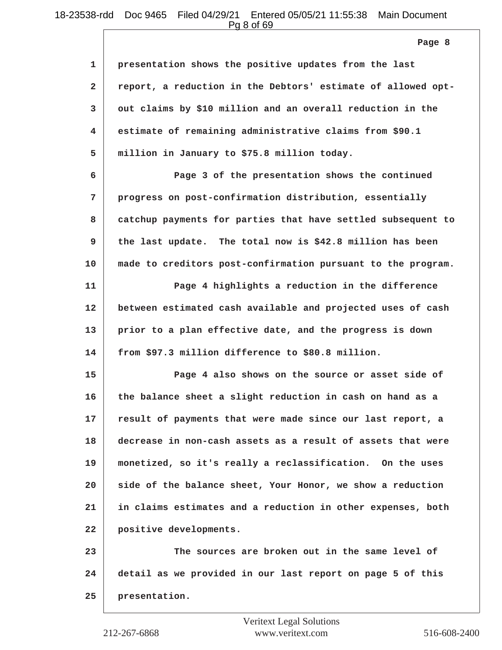Pg 8 of 69

| 1            | presentation shows the positive updates from the last        |
|--------------|--------------------------------------------------------------|
| $\mathbf{2}$ | report, a reduction in the Debtors' estimate of allowed opt- |
| 3            | out claims by \$10 million and an overall reduction in the   |
| 4            | estimate of remaining administrative claims from \$90.1      |
| 5            | million in January to \$75.8 million today.                  |
| 6            | Page 3 of the presentation shows the continued               |
| 7            | progress on post-confirmation distribution, essentially      |
| 8            | catchup payments for parties that have settled subsequent to |
| 9            | the last update. The total now is \$42.8 million has been    |
| 10           | made to creditors post-confirmation pursuant to the program. |
| 11           | Page 4 highlights a reduction in the difference              |
| 12           | between estimated cash available and projected uses of cash  |
| 13           | prior to a plan effective date, and the progress is down     |
| 14           | from \$97.3 million difference to \$80.8 million.            |
| 15           | Page 4 also shows on the source or asset side of             |
| 16           | the balance sheet a slight reduction in cash on hand as a    |
| 17           | result of payments that were made since our last report, a   |
| 18           | decrease in non-cash assets as a result of assets that were  |
| 19           | monetized, so it's really a reclassification. On the uses    |
| 20           | side of the balance sheet, Your Honor, we show a reduction   |
| 21           | in claims estimates and a reduction in other expenses, both  |
| 22           | positive developments.                                       |
| 23           | The sources are broken out in the same level of              |
| 24           | detail as we provided in our last report on page 5 of this   |
| 25           | presentation.                                                |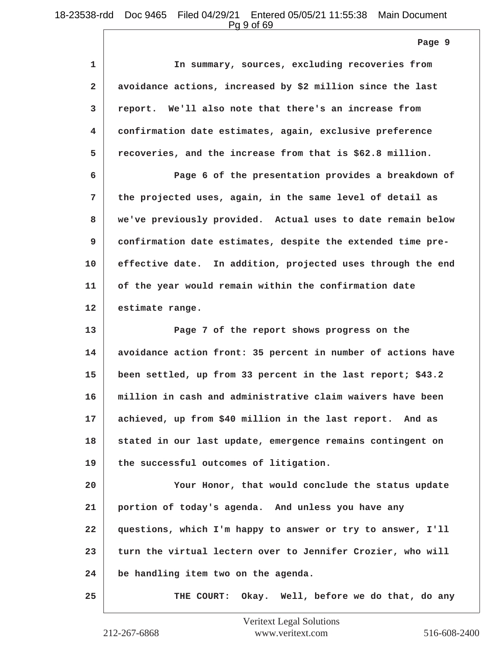Pg 9 of 69

**Page 9**

| 1            | In summary, sources, excluding recoveries from               |
|--------------|--------------------------------------------------------------|
| $\mathbf{2}$ | avoidance actions, increased by \$2 million since the last   |
| 3            | report. We'll also note that there's an increase from        |
| 4            | confirmation date estimates, again, exclusive preference     |
| 5            | recoveries, and the increase from that is \$62.8 million.    |
| 6            | Page 6 of the presentation provides a breakdown of           |
| 7            | the projected uses, again, in the same level of detail as    |
| 8            | we've previously provided. Actual uses to date remain below  |
| 9            | confirmation date estimates, despite the extended time pre-  |
| 10           | effective date. In addition, projected uses through the end  |
| 11           | of the year would remain within the confirmation date        |
| 12           | estimate range.                                              |
| 13           | Page 7 of the report shows progress on the                   |
| 14           | avoidance action front: 35 percent in number of actions have |
| 15           | been settled, up from 33 percent in the last report; \$43.2  |
| 16           | million in cash and administrative claim waivers have been   |
| 17           | achieved, up from \$40 million in the last report. And as    |
| 18           | stated in our last update, emergence remains contingent on   |
| 19           | the successful outcomes of litigation.                       |
| 20           | Your Honor, that would conclude the status update            |
| 21           | portion of today's agenda. And unless you have any           |
| 22           | questions, which I'm happy to answer or try to answer, I'll  |
| 23           | turn the virtual lectern over to Jennifer Crozier, who will  |
| 24           | be handling item two on the agenda.                          |

**25 THE COURT: Okay. Well, before we do that, do any**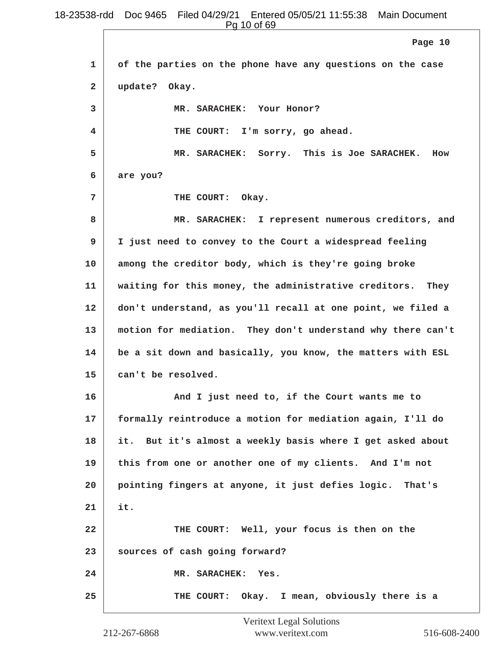Pg 10 of 69

|              | Page 10                                                     |
|--------------|-------------------------------------------------------------|
| 1            | of the parties on the phone have any questions on the case  |
| $\mathbf{2}$ | update? Okay.                                               |
| 3            | MR. SARACHEK: Your Honor?                                   |
| 4            | THE COURT: I'm sorry, go ahead.                             |
| 5            | MR. SARACHEK: Sorry. This is Joe SARACHEK.<br>How           |
| 6            | are you?                                                    |
| 7            | THE COURT: Okay.                                            |
| 8            | MR. SARACHEK: I represent numerous creditors, and           |
| 9            | I just need to convey to the Court a widespread feeling     |
| 10           | among the creditor body, which is they're going broke       |
| 11           | waiting for this money, the administrative creditors. They  |
| 12           | don't understand, as you'll recall at one point, we filed a |
| 13           | motion for mediation. They don't understand why there can't |
| 14           | be a sit down and basically, you know, the matters with ESL |
| 15           | can't be resolved.                                          |
| 16           | And I just need to, if the Court wants me to                |
| 17           | formally reintroduce a motion for mediation again, I'll do  |
| 18           | it. But it's almost a weekly basis where I get asked about  |
| 19           | this from one or another one of my clients. And I'm not     |
| 20           | pointing fingers at anyone, it just defies logic. That's    |
| 21           | it.                                                         |
| 22           | THE COURT: Well, your focus is then on the                  |
| 23           | sources of cash going forward?                              |
| 24           | MR. SARACHEK: Yes.                                          |
| 25           | THE COURT: Okay. I mean, obviously there is a               |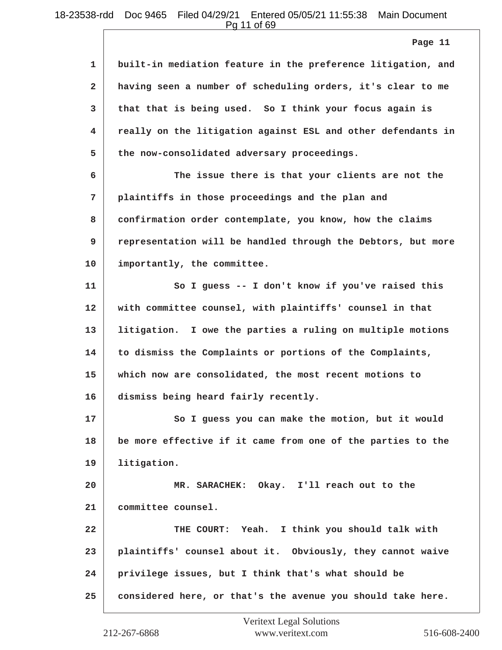Pg 11 of 69

**1 built-in mediation feature in the preference litigation, and 2 having seen a number of scheduling orders, it's clear to me 3 that that is being used. So I think your focus again is 4 really on the litigation against ESL and other defendants in 5 the now-consolidated adversary proceedings. 6 The issue there is that your clients are not the 7 plaintiffs in those proceedings and the plan and 8 confirmation order contemplate, you know, how the claims 9 representation will be handled through the Debtors, but more 10 importantly, the committee. 11 So I guess -- I don't know if you've raised this 12 with committee counsel, with plaintiffs' counsel in that 13 litigation. I owe the parties a ruling on multiple motions 14 to dismiss the Complaints or portions of the Complaints, 15 which now are consolidated, the most recent motions to 16 dismiss being heard fairly recently.** 17 So I guess you can make the motion, but it would **18 be more effective if it came from one of the parties to the 19 litigation. 20 MR. SARACHEK: Okay. I'll reach out to the 21 committee counsel. 22 THE COURT: Yeah. I think you should talk with 23 plaintiffs' counsel about it. Obviously, they cannot waive 24 privilege issues, but I think that's what should be 25 considered here, or that's the avenue you should take here. Page 11**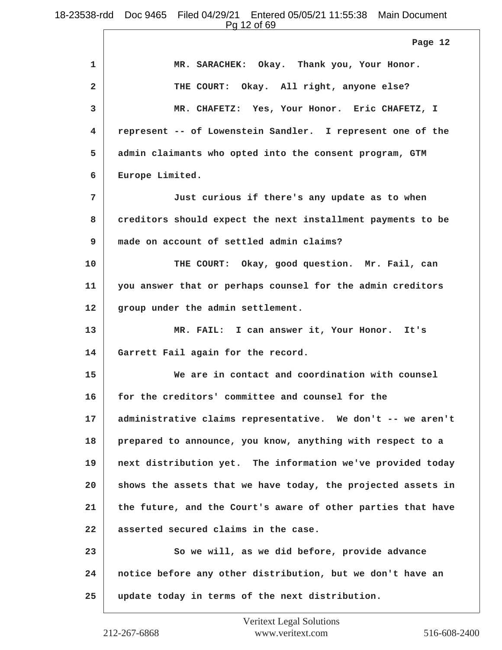**1 MR. SARACHEK: Okay. Thank you, Your Honor. 2 THE COURT: Okay. All right, anyone else? 3 MR. CHAFETZ: Yes, Your Honor. Eric CHAFETZ, I 4 represent -- of Lowenstein Sandler. I represent one of the 5 admin claimants who opted into the consent program, GTM 6 Europe Limited. 7 Just curious if there's any update as to when 8 creditors should expect the next installment payments to be 9 made on account of settled admin claims? 10 THE COURT: Okay, good question. Mr. Fail, can 11 you answer that or perhaps counsel for the admin creditors 12 group under the admin settlement. 13 MR. FAIL: I can answer it, Your Honor. It's 14 Garrett Fail again for the record. 15 We are in contact and coordination with counsel 16 for the creditors' committee and counsel for the 17 administrative claims representative. We don't -- we aren't 18 prepared to announce, you know, anything with respect to a 19 next distribution yet. The information we've provided today 20 shows the assets that we have today, the projected assets in 21 the future, and the Court's aware of other parties that have 22 asserted secured claims in the case.** 23 So we will, as we did before, provide advance **24 notice before any other distribution, but we don't have an 25 update today in terms of the next distribution. Page 12**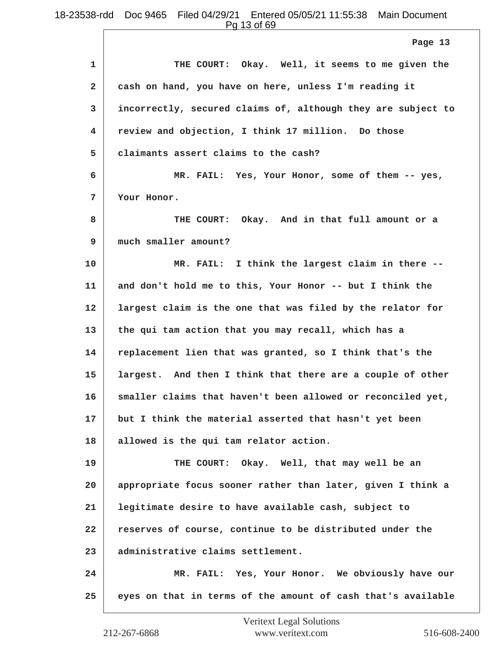Pg 13 of 69

|                | Page 13                                                      |
|----------------|--------------------------------------------------------------|
| $\mathbf{1}$   | THE COURT: Okay. Well, it seems to me given the              |
| $\overline{a}$ | cash on hand, you have on here, unless I'm reading it        |
| 3              | incorrectly, secured claims of, although they are subject to |
| 4              | review and objection, I think 17 million. Do those           |
| 5              | claimants assert claims to the cash?                         |
| 6              | MR. FAIL: Yes, Your Honor, some of them -- yes,              |
| 7              | Your Honor.                                                  |
| 8              | THE COURT: Okay. And in that full amount or a                |
| 9              | much smaller amount?                                         |
| 10             | MR. FAIL: I think the largest claim in there --              |
| 11             | and don't hold me to this, Your Honor -- but I think the     |
| 12             | largest claim is the one that was filed by the relator for   |
| 13             | the qui tam action that you may recall, which has a          |
| 14             | replacement lien that was granted, so I think that's the     |
| 15             | largest. And then I think that there are a couple of other   |
| 16             | smaller claims that haven't been allowed or reconciled yet,  |
| 17             | but I think the material asserted that hasn't yet been       |
| 18             | allowed is the qui tam relator action.                       |
| 19             | THE COURT: Okay. Well, that may well be an                   |
| 20             | appropriate focus sooner rather than later, given I think a  |
| 21             | legitimate desire to have available cash, subject to         |
| 22             | reserves of course, continue to be distributed under the     |
| 23             | administrative claims settlement.                            |
| 24             | MR. FAIL: Yes, Your Honor. We obviously have our             |
| 25             | eyes on that in terms of the amount of cash that's available |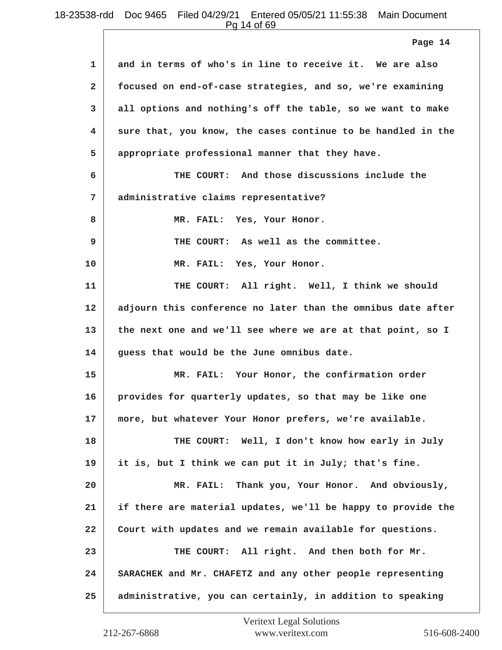Pg 14 of 69

|                | Page 14                                                      |
|----------------|--------------------------------------------------------------|
| 1              | and in terms of who's in line to receive it. We are also     |
| $\overline{a}$ | focused on end-of-case strategies, and so, we're examining   |
| 3              | all options and nothing's off the table, so we want to make  |
| 4.             | sure that, you know, the cases continue to be handled in the |
| 5              | appropriate professional manner that they have.              |
| 6              | THE COURT: And those discussions include the                 |
| 7              | administrative claims representative?                        |
| 8              | MR. FAIL: Yes, Your Honor.                                   |
| 9              | THE COURT: As well as the committee.                         |
| 10             | MR. FAIL: Yes, Your Honor.                                   |
| 11             | THE COURT: All right. Well, I think we should                |
| 12             | adjourn this conference no later than the omnibus date after |
| 13             | the next one and we'll see where we are at that point, so I  |
| 14             | guess that would be the June omnibus date.                   |
| 15             | MR. FAIL: Your Honor, the confirmation order                 |
| 16             | provides for quarterly updates, so that may be like one      |
| 17             | more, but whatever Your Honor prefers, we're available.      |
| 18             | THE COURT: Well, I don't know how early in July              |
| 19             | it is, but I think we can put it in July; that's fine.       |
| 20             | MR. FAIL: Thank you, Your Honor. And obviously,              |
| 21             | if there are material updates, we'll be happy to provide the |
| 22             | Court with updates and we remain available for questions.    |
| 23             | THE COURT: All right. And then both for Mr.                  |
| 24             | SARACHEK and Mr. CHAFETZ and any other people representing   |
| 25             | administrative, you can certainly, in addition to speaking   |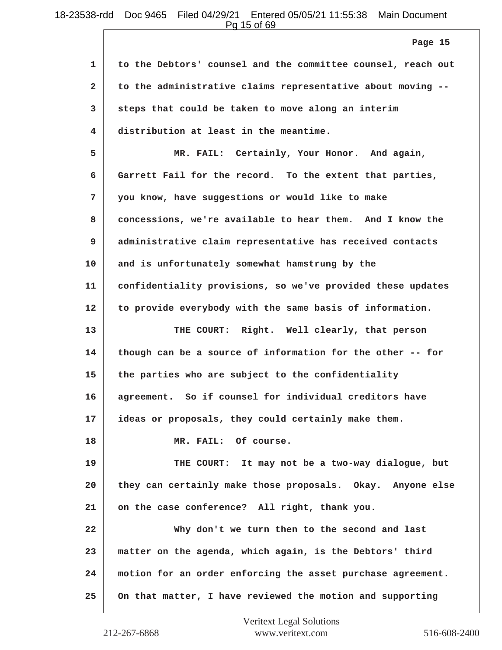Pg 15 of 69

**1 to the Debtors' counsel and the committee counsel, reach out 2 to the administrative claims representative about moving -- 3 steps that could be taken to move along an interim 4 distribution at least in the meantime. 5 MR. FAIL: Certainly, Your Honor. And again, 6 Garrett Fail for the record. To the extent that parties, 7 you know, have suggestions or would like to make 8 concessions, we're available to hear them. And I know the 9 administrative claim representative has received contacts 10 and is unfortunately somewhat hamstrung by the 11 confidentiality provisions, so we've provided these updates 12 to provide everybody with the same basis of information. 13 THE COURT: Right. Well clearly, that person 14 though can be a source of information for the other -- for 15 the parties who are subject to the confidentiality 16 agreement. So if counsel for individual creditors have 17 ideas or proposals, they could certainly make them. 18 MR. FAIL: Of course. 19 THE COURT: It may not be a two-way dialogue, but 20 they can certainly make those proposals. Okay. Anyone else 21 on the case conference? All right, thank you. 22 Why don't we turn then to the second and last 23 matter on the agenda, which again, is the Debtors' third 24 motion for an order enforcing the asset purchase agreement. 25 On that matter, I have reviewed the motion and supporting Page 15**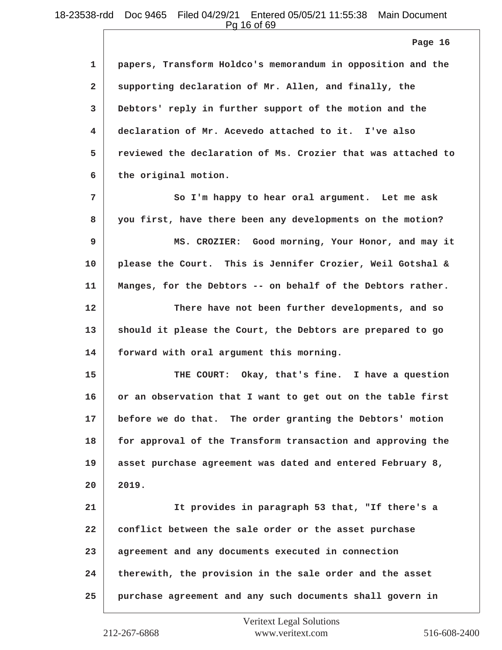Pg 16 of 69

|                | Page 16                                                      |
|----------------|--------------------------------------------------------------|
| $\mathbf{1}$   | papers, Transform Holdco's memorandum in opposition and the  |
| $\mathbf{2}$   | supporting declaration of Mr. Allen, and finally, the        |
| $\overline{3}$ | Debtors' reply in further support of the motion and the      |
| 4              | declaration of Mr. Acevedo attached to it. I've also         |
| 5              | reviewed the declaration of Ms. Crozier that was attached to |
| 6              | the original motion.                                         |
| 7              | So I'm happy to hear oral argument. Let me ask               |
| 8              | you first, have there been any developments on the motion?   |
| 9              | MS. CROZIER: Good morning, Your Honor, and may it            |
| 10             | please the Court. This is Jennifer Crozier, Weil Gotshal &   |
| 11             | Manges, for the Debtors -- on behalf of the Debtors rather.  |
| 12             | There have not been further developments, and so             |

**13 should it please the Court, the Debtors are prepared to go 14 forward with oral argument this morning.**

**15 THE COURT: Okay, that's fine. I have a question 16 or an observation that I want to get out on the table first 17 before we do that. The order granting the Debtors' motion 18 for approval of the Transform transaction and approving the 19 asset purchase agreement was dated and entered February 8, 20 2019.**

**21 It provides in paragraph 53 that, "If there's a 22 conflict between the sale order or the asset purchase 23 agreement and any documents executed in connection 24 therewith, the provision in the sale order and the asset 25 purchase agreement and any such documents shall govern in**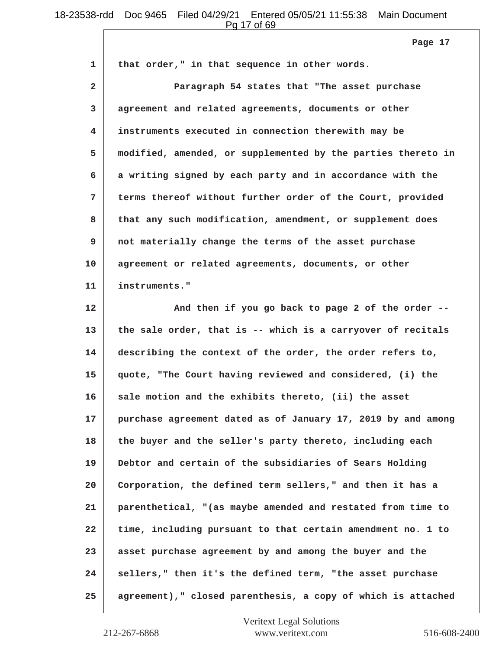Pg 17 of 69

| 1              | that order," in that sequence in other words.                |
|----------------|--------------------------------------------------------------|
| $\mathbf{2}$   | Paragraph 54 states that "The asset purchase                 |
| 3              | agreement and related agreements, documents or other         |
| $\overline{4}$ | instruments executed in connection therewith may be          |
| 5              | modified, amended, or supplemented by the parties thereto in |
| 6              | a writing signed by each party and in accordance with the    |
| 7              | terms thereof without further order of the Court, provided   |
| 8              | that any such modification, amendment, or supplement does    |
| 9              | not materially change the terms of the asset purchase        |
| 10             | agreement or related agreements, documents, or other         |
| 11             | instruments."                                                |
| 12             | And then if you go back to page 2 of the order --            |
| 13             | the sale order, that is -- which is a carryover of recitals  |
| 14             | describing the context of the order, the order refers to,    |
| 15             | quote, "The Court having reviewed and considered, (i) the    |
| 16             | sale motion and the exhibits thereto, (ii) the asset         |
| 17             | purchase agreement dated as of January 17, 2019 by and among |
| 18             | the buyer and the seller's party thereto, including each     |
| 19             | Debtor and certain of the subsidiaries of Sears Holding      |
| 20             | Corporation, the defined term sellers," and then it has a    |
| 21             | parenthetical, "(as maybe amended and restated from time to  |
| 22             | time, including pursuant to that certain amendment no. 1 to  |
| 23             | asset purchase agreement by and among the buyer and the      |
| 24             | sellers," then it's the defined term, "the asset purchase    |
| 25             | agreement)," closed parenthesis, a copy of which is attached |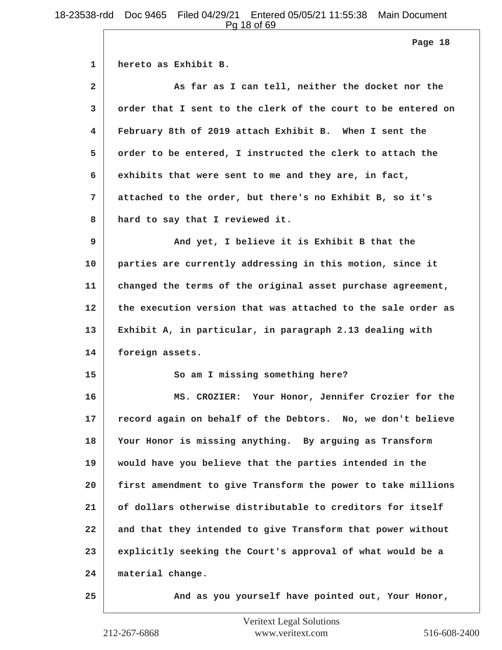Pg 18 of 69

**1 hereto as Exhibit B. 2 As far as I can tell, neither the docket nor the 3 order that I sent to the clerk of the court to be entered on 4 February 8th of 2019 attach Exhibit B. When I sent the 5 order to be entered, I instructed the clerk to attach the 6 exhibits that were sent to me and they are, in fact, 7 attached to the order, but there's no Exhibit B, so it's 8 hard to say that I reviewed it. 9 And yet, I believe it is Exhibit B that the 10 parties are currently addressing in this motion, since it 11 changed the terms of the original asset purchase agreement, 12 the execution version that was attached to the sale order as 13 Exhibit A, in particular, in paragraph 2.13 dealing with 14 foreign assets. 15 So am I missing something here? 16 MS. CROZIER: Your Honor, Jennifer Crozier for the 17 record again on behalf of the Debtors. No, we don't believe 18 Your Honor is missing anything. By arguing as Transform 19 would have you believe that the parties intended in the 20 first amendment to give Transform the power to take millions 21 of dollars otherwise distributable to creditors for itself 22 and that they intended to give Transform that power without 23 explicitly seeking the Court's approval of what would be a 24 material change. 25 And as you yourself have pointed out, Your Honor, Page 18**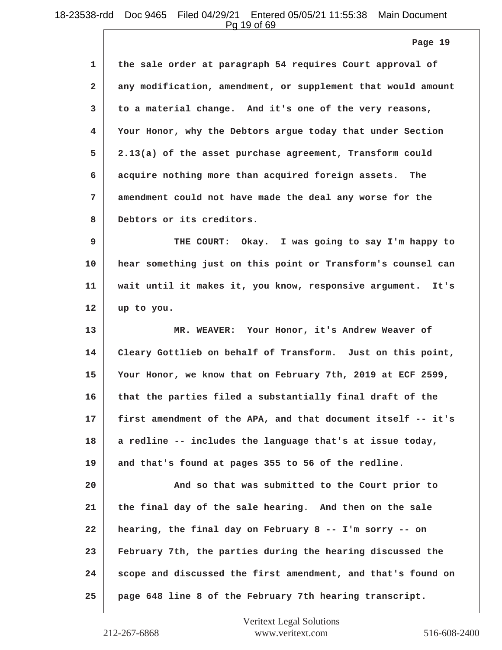Pg 19 of 69

**Page 19**

| 1            | the sale order at paragraph 54 requires Court approval of      |
|--------------|----------------------------------------------------------------|
| $\mathbf{2}$ | any modification, amendment, or supplement that would amount   |
| 3            | to a material change. And it's one of the very reasons,        |
| 4            | Your Honor, why the Debtors argue today that under Section     |
| 5            | 2.13(a) of the asset purchase agreement, Transform could       |
| 6            | acquire nothing more than acquired foreign assets. The         |
| 7            | amendment could not have made the deal any worse for the       |
| 8            | Debtors or its creditors.                                      |
| 9            | THE COURT: Okay. I was going to say I'm happy to               |
| 10           | hear something just on this point or Transform's counsel can   |
| 11           | wait until it makes it, you know, responsive argument.<br>It's |
| 12           | up to you.                                                     |
| 13           | MR. WEAVER: Your Honor, it's Andrew Weaver of                  |
| 14           | Cleary Gottlieb on behalf of Transform. Just on this point,    |
| 15           | Your Honor, we know that on February 7th, 2019 at ECF 2599,    |
| 16           | that the parties filed a substantially final draft of the      |
| 17           | first amendment of the APA, and that document itself -- it's   |
| 18           | a redline -- includes the language that's at issue today,      |
| 19           | and that's found at pages 355 to 56 of the redline.            |
| 20           | And so that was submitted to the Court prior to                |
| 21           | the final day of the sale hearing. And then on the sale        |
| 22           | hearing, the final day on February 8 -- I'm sorry -- on        |
| 23           | February 7th, the parties during the hearing discussed the     |
| 24           | scope and discussed the first amendment, and that's found on   |
| 25           | page 648 line 8 of the February 7th hearing transcript.        |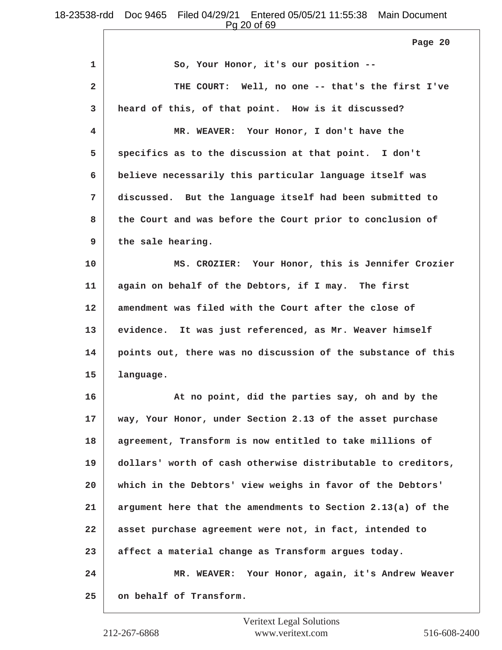Pg 20 of 69

| 1            | So, Your Honor, it's our position --                         |
|--------------|--------------------------------------------------------------|
| $\mathbf{2}$ | THE COURT: Well, no one -- that's the first I've             |
| 3            | heard of this, of that point. How is it discussed?           |
| 4            | MR. WEAVER: Your Honor, I don't have the                     |
| 5            | specifics as to the discussion at that point. I don't        |
| 6            | believe necessarily this particular language itself was      |
| 7            | discussed. But the language itself had been submitted to     |
| 8            | the Court and was before the Court prior to conclusion of    |
| 9            | the sale hearing.                                            |
| 10           | MS. CROZIER: Your Honor, this is Jennifer Crozier            |
| 11           | again on behalf of the Debtors, if I may. The first          |
| 12           | amendment was filed with the Court after the close of        |
| 13           | evidence. It was just referenced, as Mr. Weaver himself      |
| 14           | points out, there was no discussion of the substance of this |
| 15           | language.                                                    |
| 16           | At no point, did the parties say, oh and by the              |
| 17           | way, Your Honor, under Section 2.13 of the asset purchase    |
| 18           | agreement, Transform is now entitled to take millions of     |
| 19           | dollars' worth of cash otherwise distributable to creditors, |
| 20           | which in the Debtors' view weighs in favor of the Debtors'   |
| 21           | argument here that the amendments to Section 2.13(a) of the  |
| 22           | asset purchase agreement were not, in fact, intended to      |
| 23           | affect a material change as Transform argues today.          |
| 24           | MR. WEAVER: Your Honor, again, it's Andrew Weaver            |
| 25           | on behalf of Transform.                                      |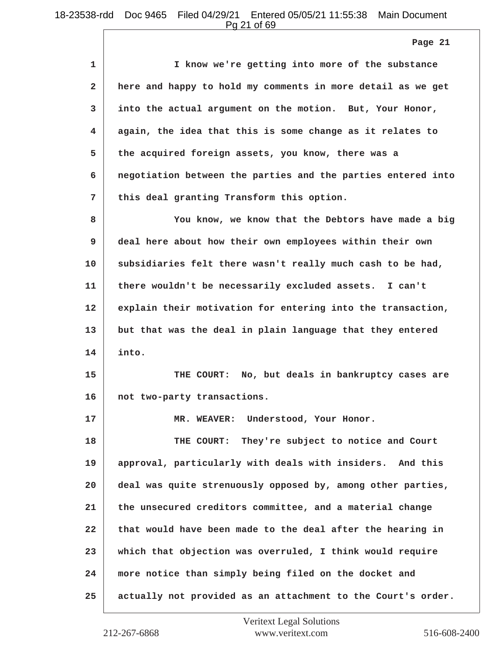Pg 21 of 69

| 1            | I know we're getting into more of the substance              |
|--------------|--------------------------------------------------------------|
| $\mathbf{2}$ | here and happy to hold my comments in more detail as we get  |
| 3            | into the actual argument on the motion. But, Your Honor,     |
| 4            | again, the idea that this is some change as it relates to    |
| 5            | the acquired foreign assets, you know, there was a           |
| 6            | negotiation between the parties and the parties entered into |
| 7            | this deal granting Transform this option.                    |
| 8            | You know, we know that the Debtors have made a big           |
| 9            | deal here about how their own employees within their own     |
| 10           | subsidiaries felt there wasn't really much cash to be had,   |
| 11           | there wouldn't be necessarily excluded assets. I can't       |
| 12           | explain their motivation for entering into the transaction,  |
| 13           | but that was the deal in plain language that they entered    |
| 14           | into.                                                        |
| 15           | THE COURT: No, but deals in bankruptcy cases are             |
| 16           | not two-party transactions.                                  |
| 17           | MR. WEAVER: Understood, Your Honor.                          |
| 18           | They're subject to notice and Court<br>THE COURT:            |
| 19           | approval, particularly with deals with insiders. And this    |
| 20           | deal was quite strenuously opposed by, among other parties,  |
| 21           | the unsecured creditors committee, and a material change     |
| 22           | that would have been made to the deal after the hearing in   |
| 23           | which that objection was overruled, I think would require    |
| 24           | more notice than simply being filed on the docket and        |
| 25           | actually not provided as an attachment to the Court's order. |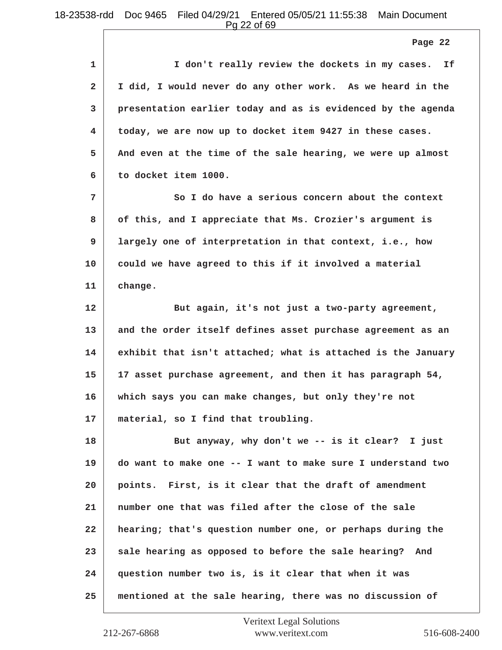**Page 22**

| 1            | I don't really review the dockets in my cases.<br>If         |
|--------------|--------------------------------------------------------------|
| $\mathbf{2}$ | I did, I would never do any other work. As we heard in the   |
| 3            | presentation earlier today and as is evidenced by the agenda |
| 4            | today, we are now up to docket item 9427 in these cases.     |
| 5            | And even at the time of the sale hearing, we were up almost  |
| 6            | to docket item 1000.                                         |
| 7            | So I do have a serious concern about the context             |
| 8            | of this, and I appreciate that Ms. Crozier's argument is     |
| 9            | largely one of interpretation in that context, i.e., how     |
| 10           | could we have agreed to this if it involved a material       |
| 11           | change.                                                      |
| 12           | But again, it's not just a two-party agreement,              |
| 13           | and the order itself defines asset purchase agreement as an  |
| 14           | exhibit that isn't attached; what is attached is the January |
| 15           | 17 asset purchase agreement, and then it has paragraph 54,   |
| 16           | which says you can make changes, but only they're not        |
| 17           | material, so I find that troubling.                          |
| 18           | But anyway, why don't we -- is it clear? I just              |
| 19           | do want to make one -- I want to make sure I understand two  |
| 20           | points. First, is it clear that the draft of amendment       |
| 21           | number one that was filed after the close of the sale        |
| 22           | hearing; that's question number one, or perhaps during the   |
| 23           | sale hearing as opposed to before the sale hearing? And      |
| 24           | question number two is, is it clear that when it was         |
| 25           | mentioned at the sale hearing, there was no discussion of    |
|              |                                                              |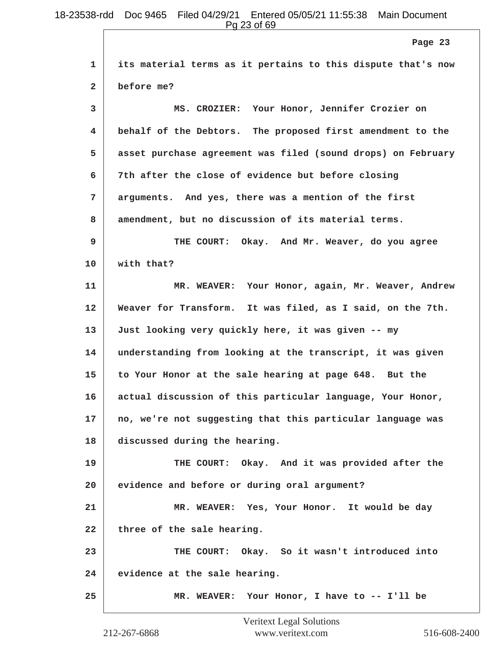Pg 23 of 69

|              | Page 23                                                      |
|--------------|--------------------------------------------------------------|
| 1            | its material terms as it pertains to this dispute that's now |
| $\mathbf{2}$ | before me?                                                   |
| 3            | MS. CROZIER: Your Honor, Jennifer Crozier on                 |
| 4            | behalf of the Debtors. The proposed first amendment to the   |
| 5            | asset purchase agreement was filed (sound drops) on February |
| 6            | 7th after the close of evidence but before closing           |
| 7            | arguments. And yes, there was a mention of the first         |
| 8            | amendment, but no discussion of its material terms.          |
| 9            | THE COURT: Okay. And Mr. Weaver, do you agree                |
| 10           | with that?                                                   |
| 11           | MR. WEAVER: Your Honor, again, Mr. Weaver, Andrew            |
| 12           | Weaver for Transform. It was filed, as I said, on the 7th.   |
| 13           | Just looking very quickly here, it was given -- my           |
| 14           | understanding from looking at the transcript, it was given   |
| 15           | to Your Honor at the sale hearing at page 648. But the       |
| 16           | actual discussion of this particular language, Your Honor,   |
| 17           | no, we're not suggesting that this particular language was   |
| 18           | discussed during the hearing.                                |
| 19           | THE COURT: Okay. And it was provided after the               |
| 20           | evidence and before or during oral argument?                 |
| 21           | MR. WEAVER: Yes, Your Honor. It would be day                 |
| 22           | three of the sale hearing.                                   |
| 23           | THE COURT: Okay. So it wasn't introduced into                |
| 24           | evidence at the sale hearing.                                |
| 25           | MR. WEAVER: Your Honor, I have to -- I'll be                 |

 $\Box$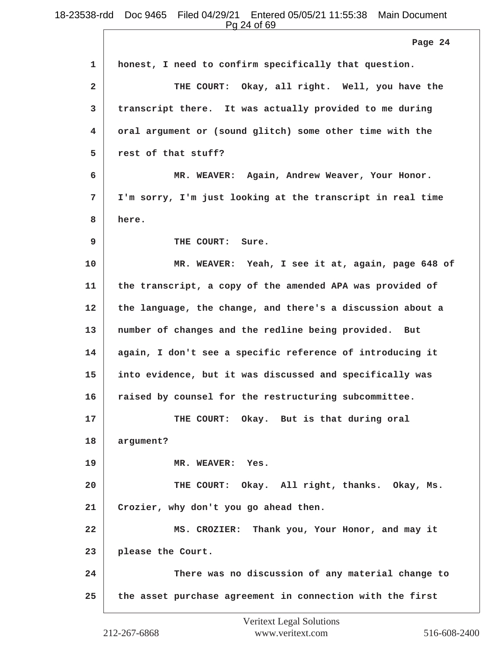**1 honest, I need to confirm specifically that question. 2 THE COURT: Okay, all right. Well, you have the 3 transcript there. It was actually provided to me during 4 oral argument or (sound glitch) some other time with the 5 rest of that stuff? 6 MR. WEAVER: Again, Andrew Weaver, Your Honor. 7 I'm sorry, I'm just looking at the transcript in real time 8 here. 9 THE COURT: Sure. 10 MR. WEAVER: Yeah, I see it at, again, page 648 of 11 the transcript, a copy of the amended APA was provided of 12 the language, the change, and there's a discussion about a 13 number of changes and the redline being provided. But 14 again, I don't see a specific reference of introducing it Page 24** Pg 24 of 69

**15 into evidence, but it was discussed and specifically was**

**16 raised by counsel for the restructuring subcommittee.**

**17 THE COURT: Okay. But is that during oral**

**18 argument?**

**19 MR. WEAVER: Yes.**

**20 THE COURT: Okay. All right, thanks. Okay, Ms. 21 Crozier, why don't you go ahead then.**

**22 MS. CROZIER: Thank you, Your Honor, and may it 23 please the Court.**

**24 There was no discussion of any material change to 25 the asset purchase agreement in connection with the first**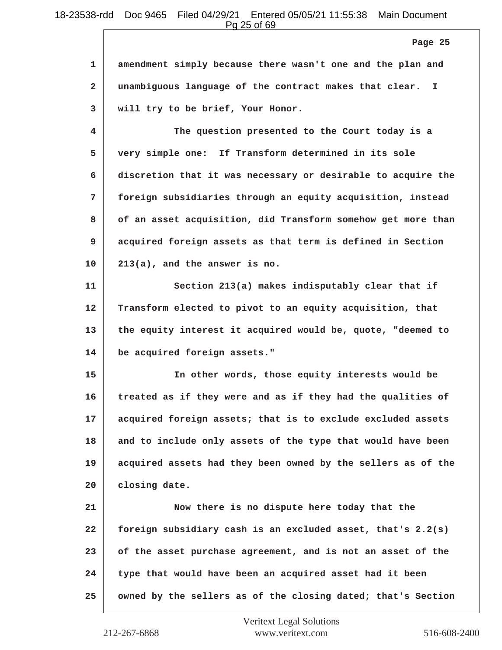Pg 25 of 69

| 1   amendment simply because there wasn't one and the plan and |
|----------------------------------------------------------------|
| 2 unambiguous language of the contract makes that clear. I     |
| 3   will try to be brief, Your Honor.                          |

**4 The question presented to the Court today is a 5 very simple one: If Transform determined in its sole 6 discretion that it was necessary or desirable to acquire the 7 foreign subsidiaries through an equity acquisition, instead 8 of an asset acquisition, did Transform somehow get more than 9 acquired foreign assets as that term is defined in Section 10 213(a), and the answer is no.**

11 Section 213(a) makes indisputably clear that if **12 Transform elected to pivot to an equity acquisition, that 13 the equity interest it acquired would be, quote, "deemed to 14 be acquired foreign assets."**

**15 In other words, those equity interests would be 16 treated as if they were and as if they had the qualities of 17 acquired foreign assets; that is to exclude excluded assets 18 and to include only assets of the type that would have been 19 acquired assets had they been owned by the sellers as of the 20 closing date.**

**21 Now there is no dispute here today that the 22 foreign subsidiary cash is an excluded asset, that's 2.2(s) 23 of the asset purchase agreement, and is not an asset of the 24 type that would have been an acquired asset had it been 25 owned by the sellers as of the closing dated; that's Section**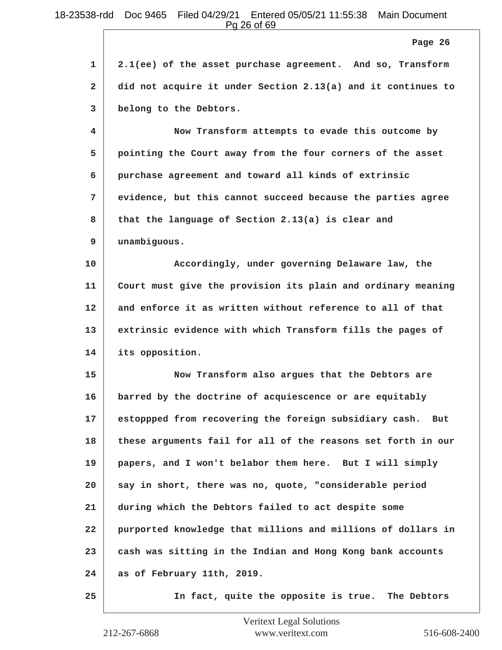Pg 26 of 69

**1 2.1(ee) of the asset purchase agreement. And so, Transform 2 did not acquire it under Section 2.13(a) and it continues to 3 belong to the Debtors.**

**4 Now Transform attempts to evade this outcome by 5 pointing the Court away from the four corners of the asset 6 purchase agreement and toward all kinds of extrinsic 7 evidence, but this cannot succeed because the parties agree 8 that the language of Section 2.13(a) is clear and 9 unambiguous.**

**10 Accordingly, under governing Delaware law, the 11 Court must give the provision its plain and ordinary meaning 12 and enforce it as written without reference to all of that 13 extrinsic evidence with which Transform fills the pages of 14 its opposition.**

**15 Now Transform also argues that the Debtors are 16 barred by the doctrine of acquiescence or are equitably 17 estoppped from recovering the foreign subsidiary cash. But 18 these arguments fail for all of the reasons set forth in our 19 papers, and I won't belabor them here. But I will simply 20 say in short, there was no, quote, "considerable period 21 during which the Debtors failed to act despite some 22 purported knowledge that millions and millions of dollars in 23 cash was sitting in the Indian and Hong Kong bank accounts 24 as of February 11th, 2019.**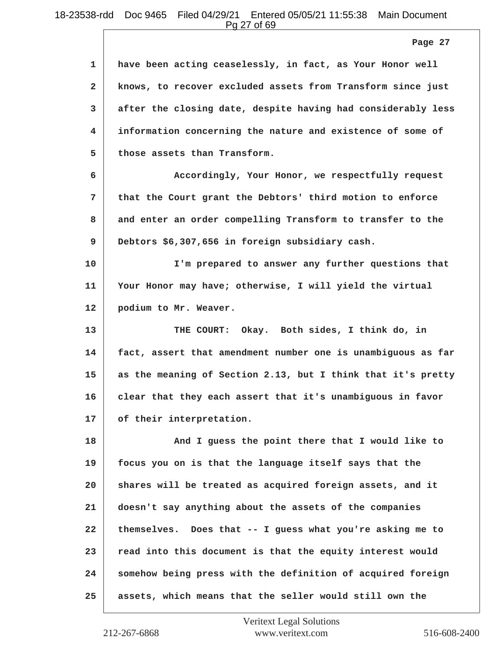Pg 27 of 69

|                | Page 27                                                      |
|----------------|--------------------------------------------------------------|
| $\mathbf{1}$   | have been acting ceaselessly, in fact, as Your Honor well    |
| $\overline{a}$ | knows, to recover excluded assets from Transform since just  |
| 3              | after the closing date, despite having had considerably less |
| 4              | information concerning the nature and existence of some of   |
| 5              | those assets than Transform.                                 |
| 6              | Accordingly, Your Honor, we respectfully request             |
| 7              | that the Court grant the Debtors' third motion to enforce    |
| 8              | and enter an order compelling Transform to transfer to the   |
| 9              | Debtors \$6,307,656 in foreign subsidiary cash.              |
| 10             | I'm prepared to answer any further questions that            |
| 11             | Your Honor may have; otherwise, I will yield the virtual     |
| 12             | podium to Mr. Weaver.                                        |
| 13             | THE COURT: Okay. Both sides, I think do, in                  |
| 14             | fact, assert that amendment number one is unambiguous as far |
| 15             | as the meaning of Section 2.13, but I think that it's pretty |
| 16             | clear that they each assert that it's unambiguous in favor   |
| 17             | of their interpretation.                                     |
| 18             | And I guess the point there that I would like to             |
| 19             | focus you on is that the language itself says that the       |
| 20             | shares will be treated as acquired foreign assets, and it    |
| 21             | doesn't say anything about the assets of the companies       |
| 22             | themselves. Does that -- I guess what you're asking me to    |
| 23             | read into this document is that the equity interest would    |
| 24             | somehow being press with the definition of acquired foreign  |
| 25             | assets, which means that the seller would still own the      |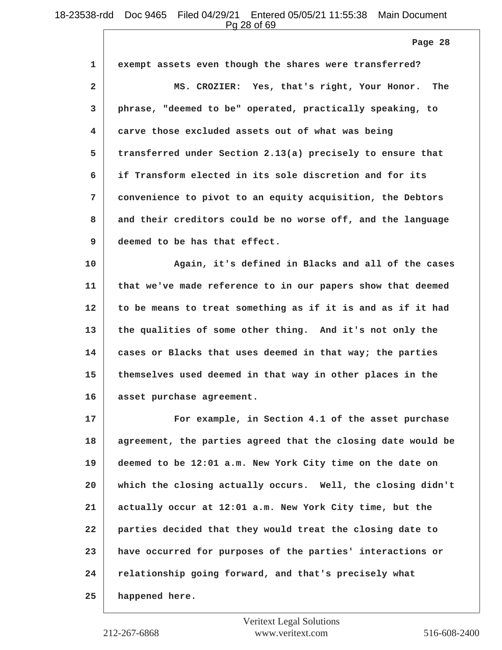Pg 28 of 69

**Page 28**

| $\mathbf{1}$   | exempt assets even though the shares were transferred?                                                         |
|----------------|----------------------------------------------------------------------------------------------------------------|
| $\overline{2}$ | MS. CROZIER: Yes, that's right, Your Honor. The                                                                |
| 3              | phrase, "deemed to be" operated, practically speaking, to                                                      |
| 4              | carve those excluded assets out of what was being                                                              |
| 5              | transferred under Section 2.13(a) precisely to ensure that                                                     |
| 6              | if Transform elected in its sole discretion and for its                                                        |
| 7              | convenience to pivot to an equity acquisition, the Debtors                                                     |
| 8              | and their creditors could be no worse off, and the language                                                    |
| 9              | deemed to be has that effect.                                                                                  |
| . .            | render the state of the state of the state of the state of the state of the state of the state of the state of |

**10 Again, it's defined in Blacks and all of the cases 11 that we've made reference to in our papers show that deemed 12 to be means to treat something as if it is and as if it had 13 the qualities of some other thing. And it's not only the 14 cases or Blacks that uses deemed in that way; the parties 15 themselves used deemed in that way in other places in the 16 asset purchase agreement.**

**17 For example, in Section 4.1 of the asset purchase 18 agreement, the parties agreed that the closing date would be 19 deemed to be 12:01 a.m. New York City time on the date on 20 which the closing actually occurs. Well, the closing didn't 21 actually occur at 12:01 a.m. New York City time, but the 22 parties decided that they would treat the closing date to 23 have occurred for purposes of the parties' interactions or 24 relationship going forward, and that's precisely what 25 happened here.**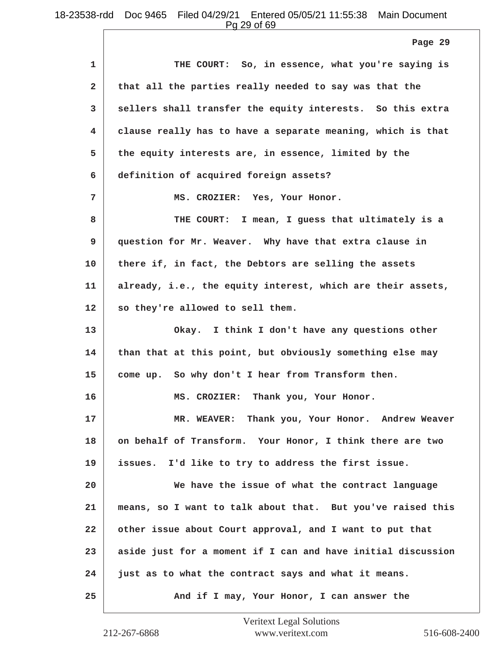Pg 29 of 69

|              | Page 29                                                      |
|--------------|--------------------------------------------------------------|
| 1            | THE COURT: So, in essence, what you're saying is             |
| $\mathbf{2}$ | that all the parties really needed to say was that the       |
| 3            | sellers shall transfer the equity interests. So this extra   |
| 4            | clause really has to have a separate meaning, which is that  |
| 5            | the equity interests are, in essence, limited by the         |
| 6            | definition of acquired foreign assets?                       |
| 7            | MS. CROZIER: Yes, Your Honor.                                |
| 8            | THE COURT: I mean, I guess that ultimately is a              |
| 9            | question for Mr. Weaver. Why have that extra clause in       |
| 10           | there if, in fact, the Debtors are selling the assets        |
| 11           | already, i.e., the equity interest, which are their assets,  |
| 12           | so they're allowed to sell them.                             |
| 13           | Okay. I think I don't have any questions other               |
| 14           | than that at this point, but obviously something else may    |
| 15           | come up. So why don't I hear from Transform then.            |
| 16           | MS. CROZIER: Thank you, Your Honor.                          |
| 17           | MR. WEAVER: Thank you, Your Honor. Andrew Weaver             |
| 18           | on behalf of Transform. Your Honor, I think there are two    |
| 19           | issues. I'd like to try to address the first issue.          |
| 20           | We have the issue of what the contract language              |
| 21           | means, so I want to talk about that. But you've raised this  |
| 22           | other issue about Court approval, and I want to put that     |
| 23           | aside just for a moment if I can and have initial discussion |
| 24           | just as to what the contract says and what it means.         |
| 25           | And if I may, Your Honor, I can answer the                   |

 $\overline{\phantom{a}}$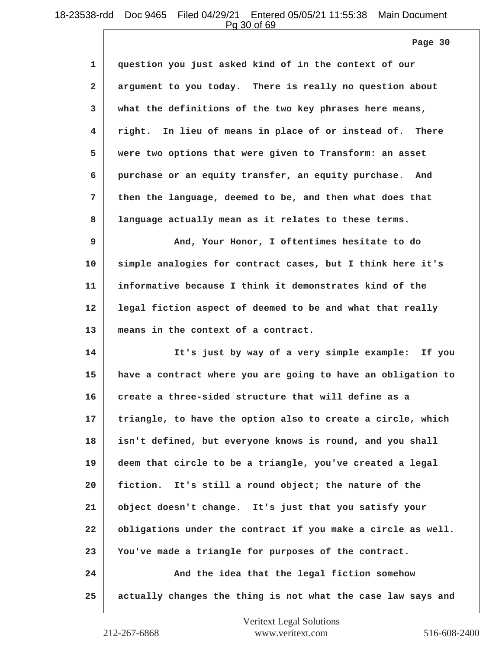Pg 30 of 69

**Page 30**

| 1              | question you just asked kind of in the context of our        |
|----------------|--------------------------------------------------------------|
| $\overline{a}$ | argument to you today. There is really no question about     |
| 3              | what the definitions of the two key phrases here means,      |
| 4.             | right. In lieu of means in place of or instead of. There     |
| 5              | were two options that were given to Transform: an asset      |
| 6              | purchase or an equity transfer, an equity purchase. And      |
| 7              | then the language, deemed to be, and then what does that     |
| 8              | language actually mean as it relates to these terms.         |
| 9              | And, Your Honor, I oftentimes hesitate to do                 |
| 10             | simple analogies for contract cases, but I think here it's   |
| 11             | informative because I think it demonstrates kind of the      |
| 12             | legal fiction aspect of deemed to be and what that really    |
| 13             | means in the context of a contract.                          |
| 14             | It's just by way of a very simple example:<br>If you         |
| 15             | have a contract where you are going to have an obligation to |
| 16             | create a three-sided structure that will define as a         |
| 17             | triangle, to have the option also to create a circle, which  |
| 18             | isn't defined, but everyone knows is round, and you shall    |
| 19             | deem that circle to be a triangle, you've created a legal    |
| 20             | fiction. It's still a round object; the nature of the        |
| 21             | object doesn't change. It's just that you satisfy your       |
| 22             | obligations under the contract if you make a circle as well. |
| 23             | You've made a triangle for purposes of the contract.         |
| 24             | And the idea that the legal fiction somehow                  |
| 25             | actually changes the thing is not what the case law says and |
|                |                                                              |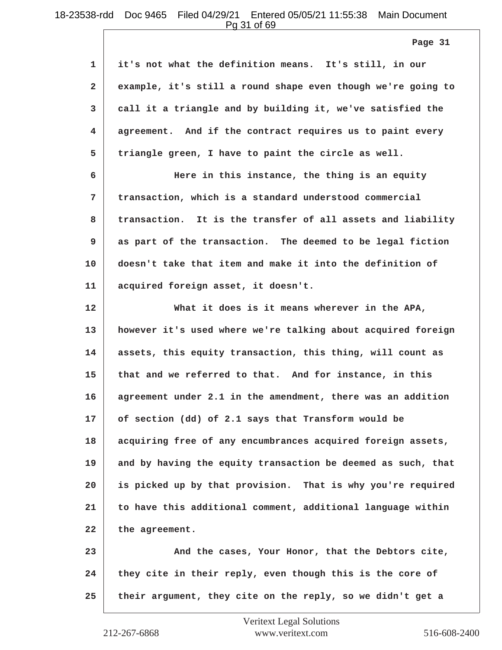Pg 31 of 69

 $\Box$ 

|              | Page 31                                                      |
|--------------|--------------------------------------------------------------|
| $\mathbf{1}$ | it's not what the definition means. It's still, in our       |
| $\mathbf{2}$ | example, it's still a round shape even though we're going to |
| 3            | call it a triangle and by building it, we've satisfied the   |
| 4.           | agreement. And if the contract requires us to paint every    |
| 5            | triangle green, I have to paint the circle as well.          |
| 6            | Here in this instance, the thing is an equity                |
| 7            | transaction, which is a standard understood commercial       |
| 8            | transaction. It is the transfer of all assets and liability  |
| 9            | as part of the transaction. The deemed to be legal fiction   |
| 10           | doesn't take that item and make it into the definition of    |
| 11           | acquired foreign asset, it doesn't.                          |
| 12           | What it does is it means wherever in the APA,                |
| 13           | however it's used where we're talking about acquired foreign |
| 14           | assets, this equity transaction, this thing, will count as   |
| 15           | that and we referred to that. And for instance, in this      |
| 16           | agreement under 2.1 in the amendment, there was an addition  |
| 17           | of section (dd) of 2.1 says that Transform would be          |
| 18           | acquiring free of any encumbrances acquired foreign assets,  |
| 19           | and by having the equity transaction be deemed as such, that |
| 20           | is picked up by that provision. That is why you're required  |

**21 to have this additional comment, additional language within 22 the agreement.**

23 And the cases, Your Honor, that the Debtors cite, **24 they cite in their reply, even though this is the core of 25 their argument, they cite on the reply, so we didn't get a**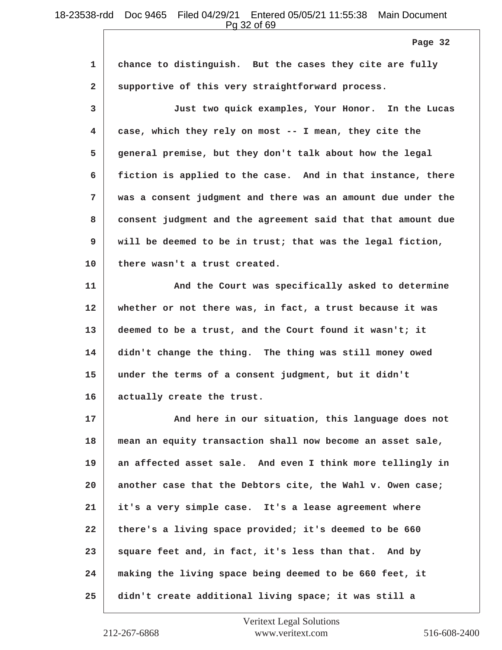Pg 32 of 69

**1 chance to distinguish. But the cases they cite are fully 2 supportive of this very straightforward process. 3 Just two quick examples, Your Honor. In the Lucas 4 case, which they rely on most -- I mean, they cite the 5 general premise, but they don't talk about how the legal 6 fiction is applied to the case. And in that instance, there 7 was a consent judgment and there was an amount due under the 8 consent judgment and the agreement said that that amount due 9 will be deemed to be in trust; that was the legal fiction, 10 there wasn't a trust created.** 11 **And the Court was specifically asked to determine 12 whether or not there was, in fact, a trust because it was 13 deemed to be a trust, and the Court found it wasn't; it 14 didn't change the thing. The thing was still money owed 15 under the terms of a consent judgment, but it didn't 16 actually create the trust. 17 And here in our situation, this language does not 18 mean an equity transaction shall now become an asset sale, 19 an affected asset sale. And even I think more tellingly in 20 another case that the Debtors cite, the Wahl v. Owen case; 21 it's a very simple case. It's a lease agreement where 22 there's a living space provided; it's deemed to be 660 23 square feet and, in fact, it's less than that. And by 24 making the living space being deemed to be 660 feet, it 25 didn't create additional living space; it was still a Page 32**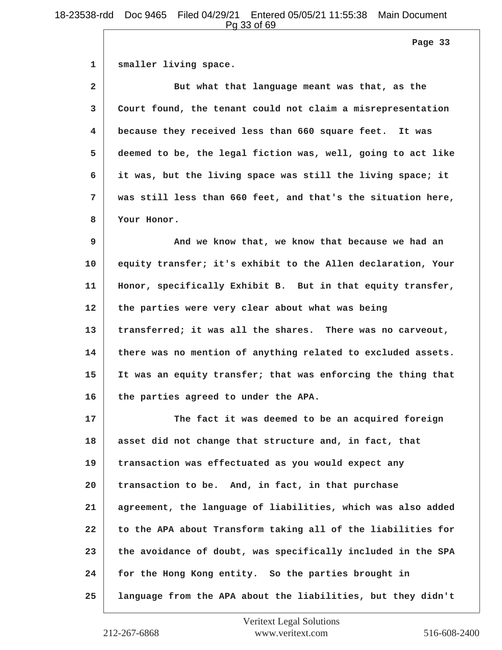**Page 33**

**1 smaller living space.**

**2 But what that language meant was that, as the 3 Court found, the tenant could not claim a misrepresentation 4 because they received less than 660 square feet. It was 5 deemed to be, the legal fiction was, well, going to act like 6 it was, but the living space was still the living space; it 7 was still less than 660 feet, and that's the situation here, 8 Your Honor.**

**9 And we know that, we know that because we had an 10 equity transfer; it's exhibit to the Allen declaration, Your 11 Honor, specifically Exhibit B. But in that equity transfer, 12 the parties were very clear about what was being 13 transferred; it was all the shares. There was no carveout, 14 there was no mention of anything related to excluded assets. 15 It was an equity transfer; that was enforcing the thing that 16 the parties agreed to under the APA.**

**17 The fact it was deemed to be an acquired foreign 18 asset did not change that structure and, in fact, that 19 transaction was effectuated as you would expect any 20 transaction to be. And, in fact, in that purchase 21 agreement, the language of liabilities, which was also added 22 to the APA about Transform taking all of the liabilities for 23 the avoidance of doubt, was specifically included in the SPA 24 for the Hong Kong entity. So the parties brought in 25 language from the APA about the liabilities, but they didn't**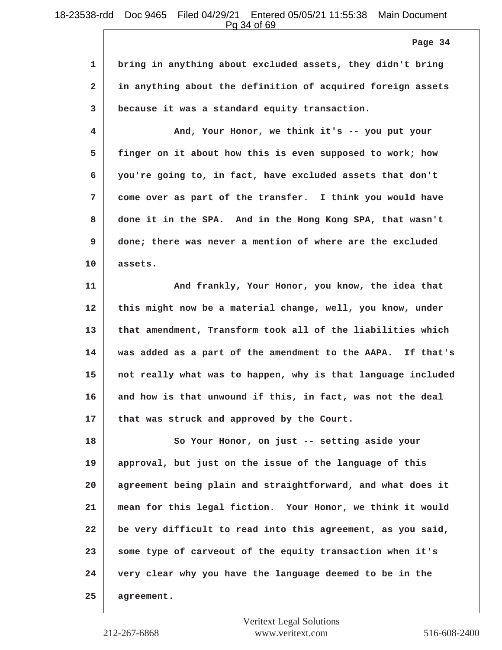Pg 34 of 69

**1 bring in anything about excluded assets, they didn't bring 2 in anything about the definition of acquired foreign assets 3 because it was a standard equity transaction.**

**4 And, Your Honor, we think it's -- you put your 5 finger on it about how this is even supposed to work; how 6 you're going to, in fact, have excluded assets that don't 7 come over as part of the transfer. I think you would have 8 done it in the SPA. And in the Hong Kong SPA, that wasn't 9 done; there was never a mention of where are the excluded 10 assets.**

**11 And frankly, Your Honor, you know, the idea that 12 this might now be a material change, well, you know, under 13 that amendment, Transform took all of the liabilities which 14 was added as a part of the amendment to the AAPA. If that's 15 not really what was to happen, why is that language included 16 and how is that unwound if this, in fact, was not the deal 17 that was struck and approved by the Court.**

**18** So Your Honor, on just -- setting aside your **19 approval, but just on the issue of the language of this 20 agreement being plain and straightforward, and what does it 21 mean for this legal fiction. Your Honor, we think it would 22 be very difficult to read into this agreement, as you said, 23 some type of carveout of the equity transaction when it's 24 very clear why you have the language deemed to be in the 25 agreement.**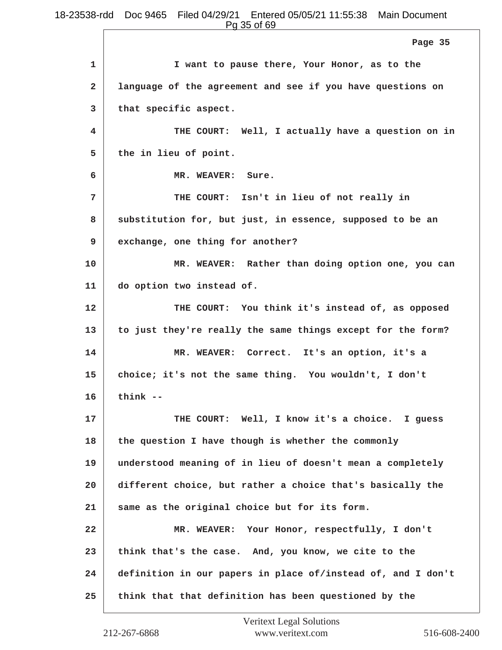**1 I want to pause there, Your Honor, as to the 2 language of the agreement and see if you have questions on 3 that specific aspect. 4 THE COURT: Well, I actually have a question on in 5 the in lieu of point. 6 MR. WEAVER: Sure. 7 THE COURT: Isn't in lieu of not really in 8 substitution for, but just, in essence, supposed to be an 9 exchange, one thing for another? 10 MR. WEAVER: Rather than doing option one, you can 11 do option two instead of. 12 THE COURT: You think it's instead of, as opposed 13 to just they're really the same things except for the form? 14 MR. WEAVER: Correct. It's an option, it's a 15 choice; it's not the same thing. You wouldn't, I don't 16 think --** 17 **THE COURT:** Well, I know it's a choice. I guess **18 the question I have though is whether the commonly 19 understood meaning of in lieu of doesn't mean a completely 20 different choice, but rather a choice that's basically the 21 same as the original choice but for its form. 22 MR. WEAVER: Your Honor, respectfully, I don't 23 think that's the case. And, you know, we cite to the 24 definition in our papers in place of/instead of, and I don't 25 think that that definition has been questioned by the Page 35**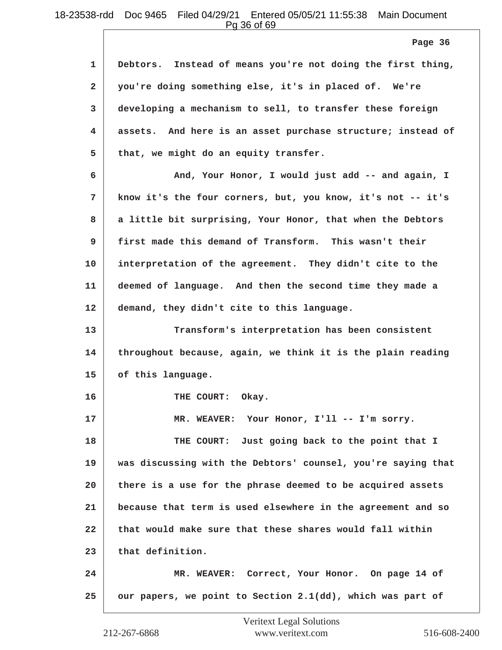Pg 36 of 69

**1 Debtors. Instead of means you're not doing the first thing, 2 you're doing something else, it's in placed of. We're 3 developing a mechanism to sell, to transfer these foreign 4 assets. And here is an asset purchase structure; instead of 5 that, we might do an equity transfer. 6 And, Your Honor, I would just add -- and again, I 7 know it's the four corners, but, you know, it's not -- it's 8 a little bit surprising, Your Honor, that when the Debtors 9 first made this demand of Transform. This wasn't their 10 interpretation of the agreement. They didn't cite to the 11 deemed of language. And then the second time they made a 12 demand, they didn't cite to this language. 13 Transform's interpretation has been consistent 14 throughout because, again, we think it is the plain reading 15 of this language.** 16 THE COURT: Okay. 17 MR. WEAVER: Your Honor, I'll -- I'm sorry. **18 THE COURT: Just going back to the point that I 19 was discussing with the Debtors' counsel, you're saying that 20 there is a use for the phrase deemed to be acquired assets 21 because that term is used elsewhere in the agreement and so 22 that would make sure that these shares would fall within 23 that definition. 24 MR. WEAVER: Correct, Your Honor. On page 14 of 25 our papers, we point to Section 2.1(dd), which was part of Page 36**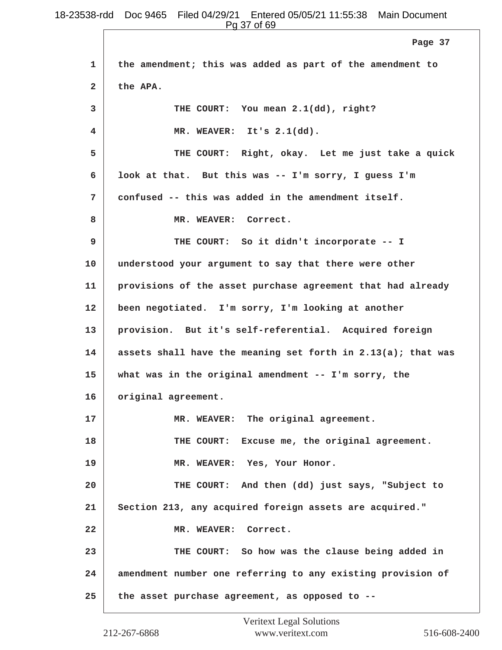Pg 37 of 69

|              | <u>y vivy v</u>                                              |
|--------------|--------------------------------------------------------------|
|              | Page 37                                                      |
| 1            | the amendment; this was added as part of the amendment to    |
| $\mathbf{2}$ | the APA.                                                     |
| 3            | THE COURT: You mean 2.1(dd), right?                          |
| 4            | MR. WEAVER: It's 2.1(dd).                                    |
| 5            | THE COURT: Right, okay. Let me just take a quick             |
| 6            | look at that. But this was -- I'm sorry, I guess I'm         |
| 7            | confused -- this was added in the amendment itself.          |
| 8            | MR. WEAVER: Correct.                                         |
| 9            | THE COURT: So it didn't incorporate -- I                     |
| 10           | understood your argument to say that there were other        |
| 11           | provisions of the asset purchase agreement that had already  |
| 12           | been negotiated. I'm sorry, I'm looking at another           |
| 13           | provision. But it's self-referential. Acquired foreign       |
| 14           | assets shall have the meaning set forth in 2.13(a); that was |
| 15           | what was in the original amendment $-- I'm$ sorry, the       |
| 16           | original agreement.                                          |
| 17           | MR. WEAVER: The original agreement.                          |
| 18           | THE COURT: Excuse me, the original agreement.                |
| 19           | MR. WEAVER: Yes, Your Honor.                                 |
| 20           | THE COURT: And then (dd) just says, "Subject to              |
| 21           | Section 213, any acquired foreign assets are acquired."      |
| 22           | MR. WEAVER: Correct.                                         |
| 23           | THE COURT: So how was the clause being added in              |
| 24           | amendment number one referring to any existing provision of  |
| 25           | the asset purchase agreement, as opposed to --               |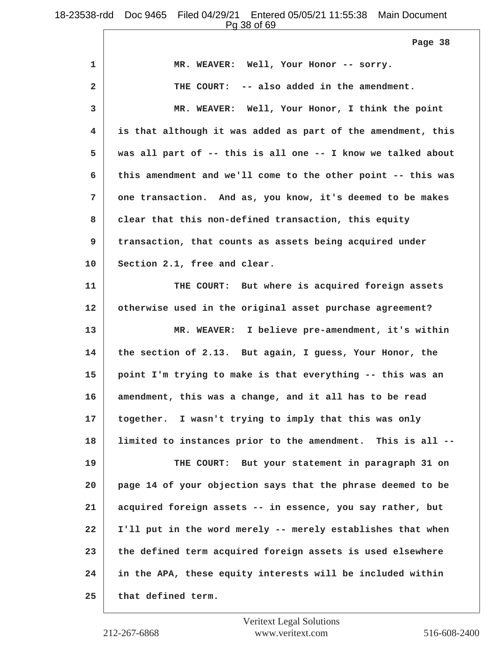Pg 38 of 69

| 1            | MR. WEAVER: Well, Your Honor -- sorry.                       |
|--------------|--------------------------------------------------------------|
| $\mathbf{2}$ | THE COURT: -- also added in the amendment.                   |
| 3            | MR. WEAVER: Well, Your Honor, I think the point              |
| 4            | is that although it was added as part of the amendment, this |
| 5            | was all part of -- this is all one -- I know we talked about |
| 6            | this amendment and we'll come to the other point -- this was |
| 7            | one transaction. And as, you know, it's deemed to be makes   |
| 8            | clear that this non-defined transaction, this equity         |
| 9            | transaction, that counts as assets being acquired under      |
| 10           | Section 2.1, free and clear.                                 |
| 11           | THE COURT: But where is acquired foreign assets              |
| 12           | otherwise used in the original asset purchase agreement?     |
| 13           | MR. WEAVER: I believe pre-amendment, it's within             |
| 14           | the section of 2.13. But again, I guess, Your Honor, the     |
| 15           | point I'm trying to make is that everything -- this was an   |
| 16           | amendment, this was a change, and it all has to be read      |
| 17           | together. I wasn't trying to imply that this was only        |
| 18           | limited to instances prior to the amendment. This is all --  |
| 19           | THE COURT: But your statement in paragraph 31 on             |
| 20           | page 14 of your objection says that the phrase deemed to be  |
| 21           | acquired foreign assets -- in essence, you say rather, but   |
| 22           | I'll put in the word merely -- merely establishes that when  |
| 23           | the defined term acquired foreign assets is used elsewhere   |
| 24           | in the APA, these equity interests will be included within   |
| 25           | that defined term.                                           |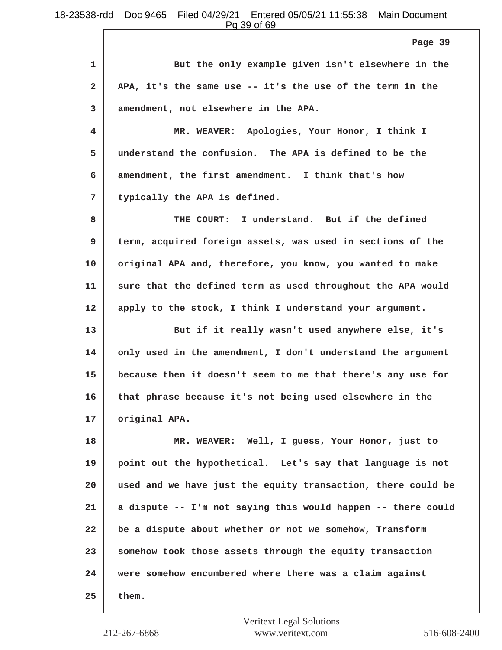**Page 39**

**1 But the only example given isn't elsewhere in the 2 APA, it's the same use -- it's the use of the term in the 3 amendment, not elsewhere in the APA.**

**4 MR. WEAVER: Apologies, Your Honor, I think I 5 understand the confusion. The APA is defined to be the 6 amendment, the first amendment. I think that's how 7 typically the APA is defined.**

**8 THE COURT: I understand. But if the defined 9 term, acquired foreign assets, was used in sections of the 10 original APA and, therefore, you know, you wanted to make 11 sure that the defined term as used throughout the APA would 12 apply to the stock, I think I understand your argument.**

**13 But if it really wasn't used anywhere else, it's 14 only used in the amendment, I don't understand the argument 15 because then it doesn't seem to me that there's any use for 16 that phrase because it's not being used elsewhere in the 17 original APA.**

**18 MR. WEAVER: Well, I guess, Your Honor, just to 19 point out the hypothetical. Let's say that language is not 20 used and we have just the equity transaction, there could be 21 a dispute -- I'm not saying this would happen -- there could 22 be a dispute about whether or not we somehow, Transform 23 somehow took those assets through the equity transaction 24 were somehow encumbered where there was a claim against 25 them.**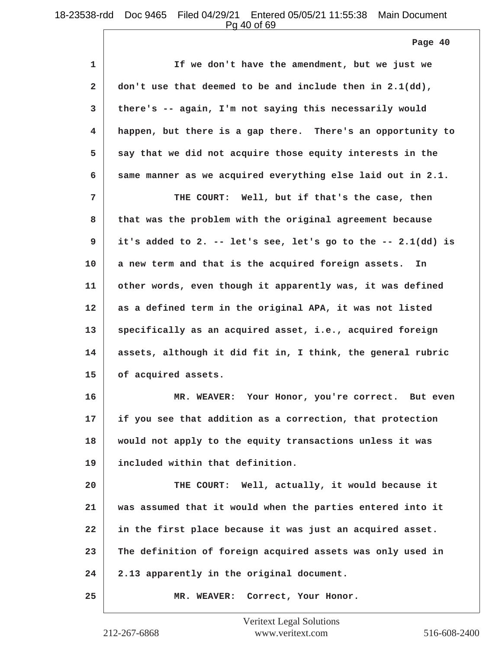Pg 40 of 69

| 1            | If we don't have the amendment, but we just we                 |
|--------------|----------------------------------------------------------------|
| $\mathbf{2}$ | don't use that deemed to be and include then in 2.1(dd),       |
| 3            | there's -- again, I'm not saying this necessarily would        |
| 4            | happen, but there is a gap there. There's an opportunity to    |
| 5            | say that we did not acquire those equity interests in the      |
| 6            | same manner as we acquired everything else laid out in 2.1.    |
| 7            | THE COURT: Well, but if that's the case, then                  |
| 8            | that was the problem with the original agreement because       |
| 9            | it's added to 2. -- let's see, let's go to the -- $2.1(dd)$ is |
| 10           | a new term and that is the acquired foreign assets.<br>In      |
| 11           | other words, even though it apparently was, it was defined     |
| 12           | as a defined term in the original APA, it was not listed       |
| 13           | specifically as an acquired asset, i.e., acquired foreign      |
| 14           | assets, although it did fit in, I think, the general rubric    |
| 15           | of acquired assets.                                            |
| 16           | MR. WEAVER: Your Honor, you're correct. But even               |
| 17           | if you see that addition as a correction, that protection      |
| 18           | would not apply to the equity transactions unless it was       |
| 19           | included within that definition.                               |
| 20           | THE COURT: Well, actually, it would because it                 |
| 21           | was assumed that it would when the parties entered into it     |
| 22           | in the first place because it was just an acquired asset.      |
| 23           | The definition of foreign acquired assets was only used in     |
| 24           | 2.13 apparently in the original document.                      |
| 25           | MR. WEAVER: Correct, Your Honor.                               |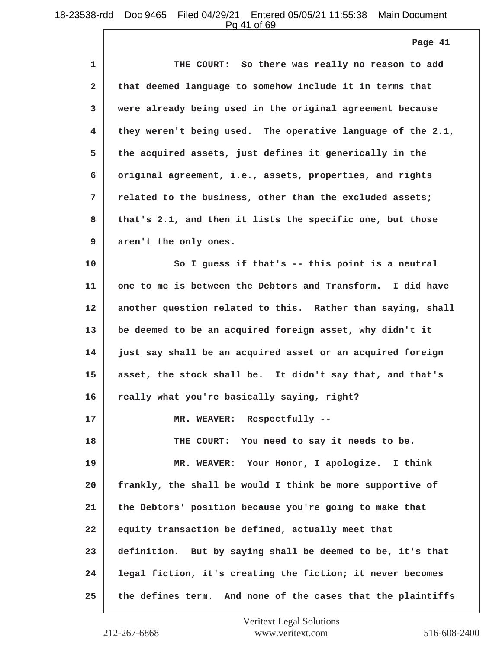**Page 41**

| 1            | THE COURT: So there was really no reason to add             |
|--------------|-------------------------------------------------------------|
| $\mathbf{2}$ | that deemed language to somehow include it in terms that    |
| 3            | were already being used in the original agreement because   |
| 4            | they weren't being used. The operative language of the 2.1, |
| 5            | the acquired assets, just defines it generically in the     |
| 6            | original agreement, i.e., assets, properties, and rights    |
| 7            | related to the business, other than the excluded assets;    |
| 8            | that's 2.1, and then it lists the specific one, but those   |
| 9            | aren't the only ones.                                       |
| 10           | So I guess if that's -- this point is a neutral             |
| 11           | one to me is between the Debtors and Transform. I did have  |
| 12           | another question related to this. Rather than saying, shall |
| 13           | be deemed to be an acquired foreign asset, why didn't it    |
| 14           | just say shall be an acquired asset or an acquired foreign  |
| 15           | asset, the stock shall be. It didn't say that, and that's   |
| 16           | really what you're basically saying, right?                 |
| 17           | MR. WEAVER: Respectfully --                                 |
| 18           | THE COURT: You need to say it needs to be.                  |
| 19           | MR. WEAVER: Your Honor, I apologize. I think                |
| 20           | frankly, the shall be would I think be more supportive of   |
| 21           | the Debtors' position because you're going to make that     |
| 22           | equity transaction be defined, actually meet that           |
| 23           | definition. But by saying shall be deemed to be, it's that  |
| 24           | legal fiction, it's creating the fiction; it never becomes  |
| 25           | the defines term. And none of the cases that the plaintiffs |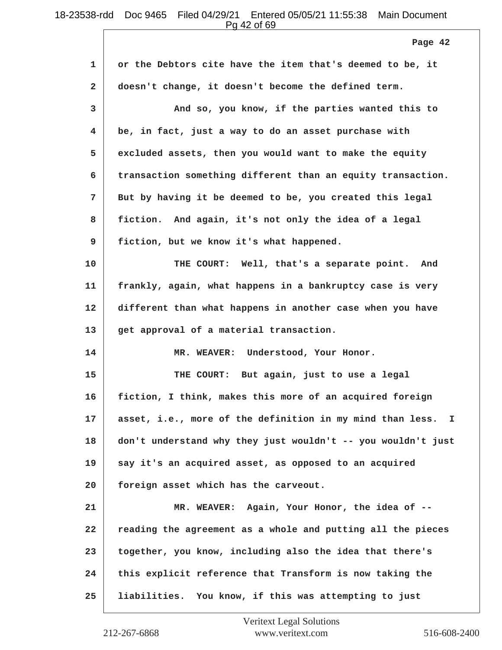Pg 42 of 69

|              | Page 42                                                      |
|--------------|--------------------------------------------------------------|
| 1            | or the Debtors cite have the item that's deemed to be, it    |
| $\mathbf{2}$ | doesn't change, it doesn't become the defined term.          |
| 3            | And so, you know, if the parties wanted this to              |
| 4            | be, in fact, just a way to do an asset purchase with         |
| 5            | excluded assets, then you would want to make the equity      |
| 6            | transaction something different than an equity transaction.  |
| 7            | But by having it be deemed to be, you created this legal     |
| 8            | fiction. And again, it's not only the idea of a legal        |
| 9            | fiction, but we know it's what happened.                     |
| 10           | THE COURT: Well, that's a separate point. And                |
| 11           | frankly, again, what happens in a bankruptcy case is very    |
| 12           | different than what happens in another case when you have    |
| 13           | get approval of a material transaction.                      |
| 14           | MR. WEAVER: Understood, Your Honor.                          |
| 15           | THE COURT: But again, just to use a legal                    |
| 16           | fiction, I think, makes this more of an acquired foreign     |
| 17           | asset, i.e., more of the definition in my mind than less. I  |
| 18           | don't understand why they just wouldn't -- you wouldn't just |
| 19           | say it's an acquired asset, as opposed to an acquired        |
| 20           | foreign asset which has the carveout.                        |
| 21           | MR. WEAVER: Again, Your Honor, the idea of --                |
| 22           | reading the agreement as a whole and putting all the pieces  |
| 23           | together, you know, including also the idea that there's     |
| 24           | this explicit reference that Transform is now taking the     |
| 25           | liabilities. You know, if this was attempting to just        |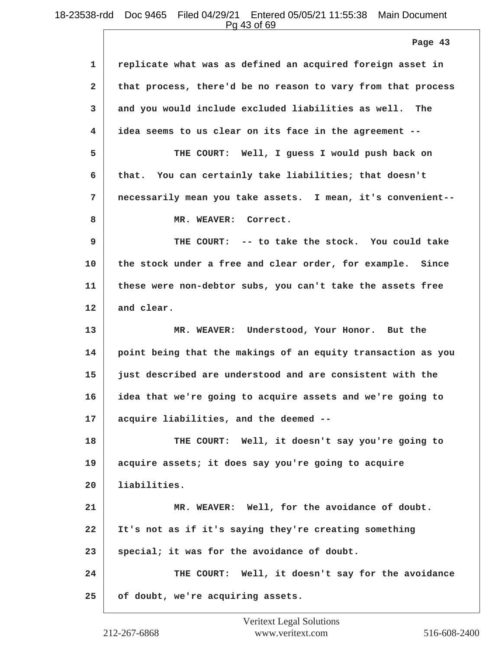Pg 43 of 69

**1 replicate what was as defined an acquired foreign asset in 2 that process, there'd be no reason to vary from that process 3 and you would include excluded liabilities as well. The 4 idea seems to us clear on its face in the agreement -- 5 THE COURT: Well, I guess I would push back on 6 that. You can certainly take liabilities; that doesn't 7 necessarily mean you take assets. I mean, it's convenient--** 8 MR. WEAVER: Correct. **9 THE COURT: -- to take the stock. You could take 10 the stock under a free and clear order, for example. Since 11 these were non-debtor subs, you can't take the assets free 12 and clear. 13 MR. WEAVER: Understood, Your Honor. But the 14 point being that the makings of an equity transaction as you 15 just described are understood and are consistent with the 16 idea that we're going to acquire assets and we're going to 17 acquire liabilities, and the deemed -- 18 THE COURT: Well, it doesn't say you're going to 19 acquire assets; it does say you're going to acquire 20 liabilities. 21 MR. WEAVER: Well, for the avoidance of doubt. 22 It's not as if it's saying they're creating something 23 special; it was for the avoidance of doubt. 24 THE COURT: Well, it doesn't say for the avoidance 25 of doubt, we're acquiring assets. Page 43**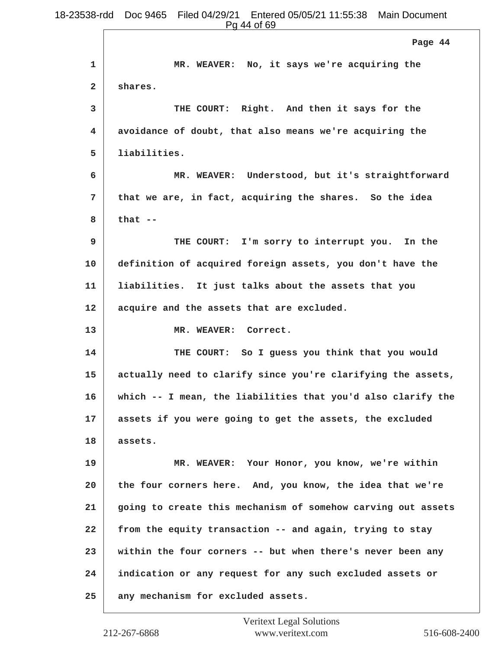**1 MR. WEAVER: No, it says we're acquiring the 2 shares. 3 THE COURT: Right. And then it says for the 4 avoidance of doubt, that also means we're acquiring the 5 liabilities. 6 MR. WEAVER: Understood, but it's straightforward 7 that we are, in fact, acquiring the shares. So the idea 8 that -- 9 THE COURT: I'm sorry to interrupt you. In the 10 definition of acquired foreign assets, you don't have the 11 liabilities. It just talks about the assets that you 12 acquire and the assets that are excluded.** 13 MR. WEAVER: Correct. **14 THE COURT: So I guess you think that you would 15 actually need to clarify since you're clarifying the assets, 16 which -- I mean, the liabilities that you'd also clarify the 17 assets if you were going to get the assets, the excluded 18 assets. 19 MR. WEAVER: Your Honor, you know, we're within 20 the four corners here. And, you know, the idea that we're 21 going to create this mechanism of somehow carving out assets 22 from the equity transaction -- and again, trying to stay 23 within the four corners -- but when there's never been any 24 indication or any request for any such excluded assets or 25 any mechanism for excluded assets. Page 44**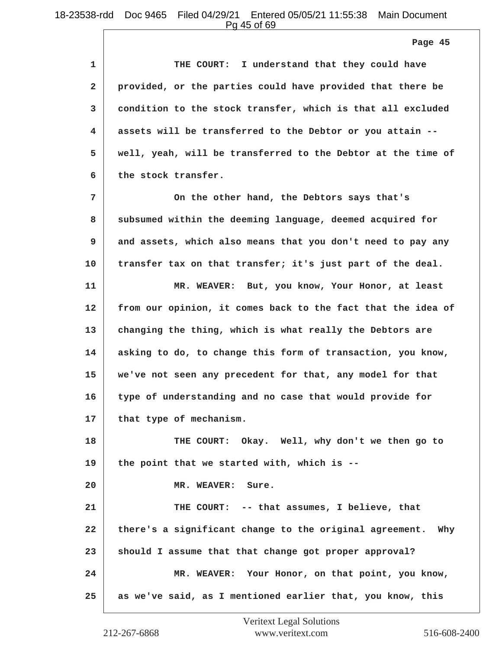**Page 45**

**1 THE COURT: I understand that they could have 2 provided, or the parties could have provided that there be 3 condition to the stock transfer, which is that all excluded 4 assets will be transferred to the Debtor or you attain -- 5 well, yeah, will be transferred to the Debtor at the time of 6 the stock transfer.**

**7 On the other hand, the Debtors says that's 8 subsumed within the deeming language, deemed acquired for 9 and assets, which also means that you don't need to pay any 10 transfer tax on that transfer; it's just part of the deal.**

**11 MR. WEAVER: But, you know, Your Honor, at least 12 from our opinion, it comes back to the fact that the idea of 13 changing the thing, which is what really the Debtors are 14 asking to do, to change this form of transaction, you know, 15 we've not seen any precedent for that, any model for that 16 type of understanding and no case that would provide for 17 that type of mechanism.**

**18 THE COURT: Okay. Well, why don't we then go to 19 the point that we started with, which is --**

**20 MR. WEAVER: Sure.**

**21 THE COURT: -- that assumes, I believe, that 22 there's a significant change to the original agreement. Why 23 should I assume that that change got proper approval? 24 MR. WEAVER: Your Honor, on that point, you know, 25 as we've said, as I mentioned earlier that, you know, this**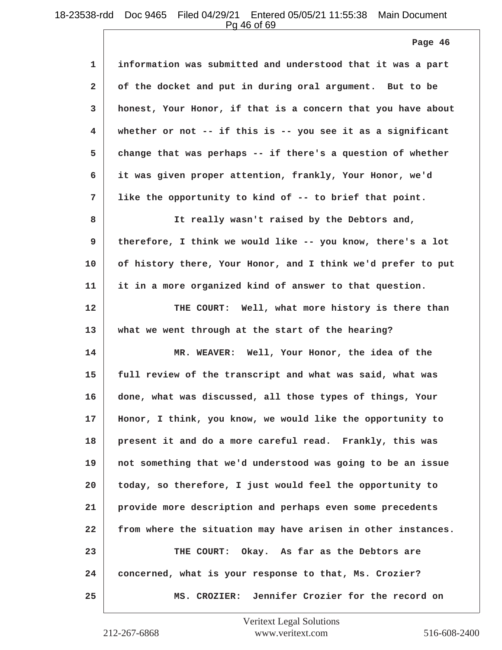Pg 46 of 69

| 1            | information was submitted and understood that it was a part  |
|--------------|--------------------------------------------------------------|
| $\mathbf{2}$ | of the docket and put in during oral argument. But to be     |
| 3            | honest, Your Honor, if that is a concern that you have about |
| 4            | whether or not -- if this is -- you see it as a significant  |
| 5            | change that was perhaps -- if there's a question of whether  |
| 6            | it was given proper attention, frankly, Your Honor, we'd     |
| 7            | like the opportunity to kind of -- to brief that point.      |
| 8            | It really wasn't raised by the Debtors and,                  |
| 9            | therefore, I think we would like -- you know, there's a lot  |
| 10           | of history there, Your Honor, and I think we'd prefer to put |
| 11           | it in a more organized kind of answer to that question.      |
| 12           | THE COURT: Well, what more history is there than             |
| 13           | what we went through at the start of the hearing?            |
| 14           | MR. WEAVER: Well, Your Honor, the idea of the                |
| 15           | full review of the transcript and what was said, what was    |
| 16           | done, what was discussed, all those types of things, Your    |
| 17           | Honor, I think, you know, we would like the opportunity to   |
| 18           | present it and do a more careful read. Frankly, this was     |
| 19           | not something that we'd understood was going to be an issue  |
| 20           | today, so therefore, I just would feel the opportunity to    |
| 21           | provide more description and perhaps even some precedents    |
| 22           | from where the situation may have arisen in other instances. |
| 23           | THE COURT: Okay. As far as the Debtors are                   |
| 24           | concerned, what is your response to that, Ms. Crozier?       |
| 25           | MS. CROZIER: Jennifer Crozier for the record on              |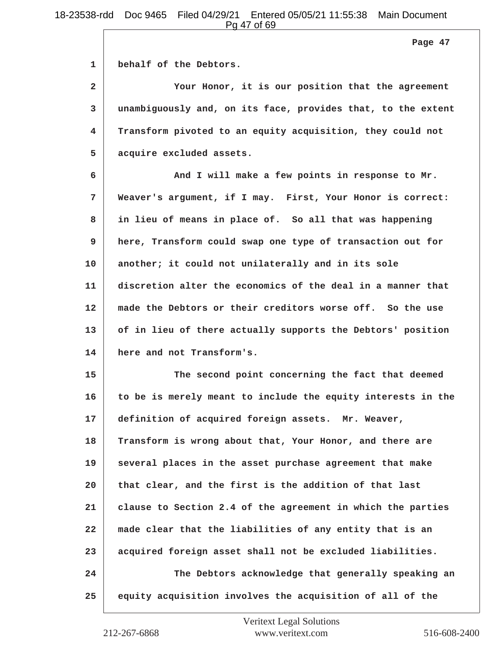**Page 47**

**1 behalf of the Debtors.**

**2 Your Honor, it is our position that the agreement 3 unambiguously and, on its face, provides that, to the extent 4 Transform pivoted to an equity acquisition, they could not 5 acquire excluded assets.**

**6 And I will make a few points in response to Mr. 7 Weaver's argument, if I may. First, Your Honor is correct: 8 in lieu of means in place of. So all that was happening 9 here, Transform could swap one type of transaction out for 10 another; it could not unilaterally and in its sole 11 discretion alter the economics of the deal in a manner that 12 made the Debtors or their creditors worse off. So the use 13 of in lieu of there actually supports the Debtors' position 14 here and not Transform's.**

**15 The second point concerning the fact that deemed 16 to be is merely meant to include the equity interests in the 17 definition of acquired foreign assets. Mr. Weaver, 18 Transform is wrong about that, Your Honor, and there are 19 several places in the asset purchase agreement that make 20 that clear, and the first is the addition of that last 21 clause to Section 2.4 of the agreement in which the parties 22 made clear that the liabilities of any entity that is an 23 acquired foreign asset shall not be excluded liabilities. 24 The Debtors acknowledge that generally speaking an 25 equity acquisition involves the acquisition of all of the**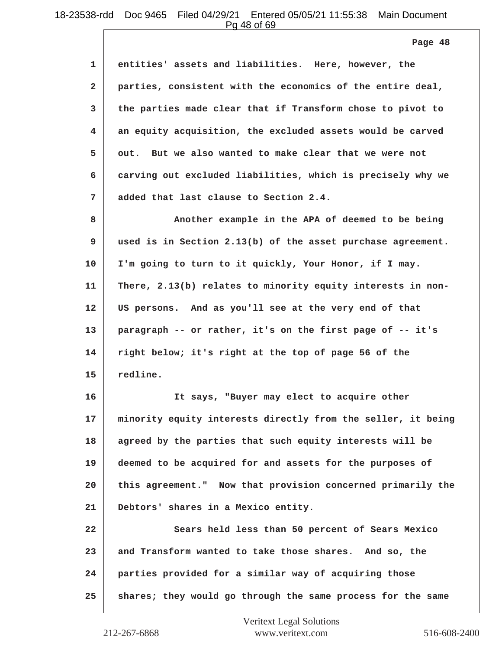Pg 48 of 69

**Page 48**

| 1            | entities' assets and liabilities. Here, however, the         |
|--------------|--------------------------------------------------------------|
| $\mathbf{2}$ | parties, consistent with the economics of the entire deal,   |
| 3            | the parties made clear that if Transform chose to pivot to   |
| 4            | an equity acquisition, the excluded assets would be carved   |
| 5            | out. But we also wanted to make clear that we were not       |
| 6            | carving out excluded liabilities, which is precisely why we  |
| 7            | added that last clause to Section 2.4.                       |
| 8            | Another example in the APA of deemed to be being             |
| 9            | used is in Section 2.13(b) of the asset purchase agreement.  |
| 10           | I'm going to turn to it quickly, Your Honor, if I may.       |
| 11           | There, 2.13(b) relates to minority equity interests in non-  |
| 12           | US persons. And as you'll see at the very end of that        |
| 13           | paragraph -- or rather, it's on the first page of -- it's    |
| 14           | right below; it's right at the top of page 56 of the         |
| 15           | redline.                                                     |
| 16           | It says, "Buyer may elect to acquire other                   |
| 17           | minority equity interests directly from the seller, it being |
| 18           | agreed by the parties that such equity interests will be     |
| 19           | deemed to be acquired for and assets for the purposes of     |
| 20           | this agreement." Now that provision concerned primarily the  |
| 21           | Debtors' shares in a Mexico entity.                          |
| 22           | Sears held less than 50 percent of Sears Mexico              |
| 23           | and Transform wanted to take those shares. And so, the       |
| 24           | parties provided for a similar way of acquiring those        |
| 25           | shares; they would go through the same process for the same  |
|              |                                                              |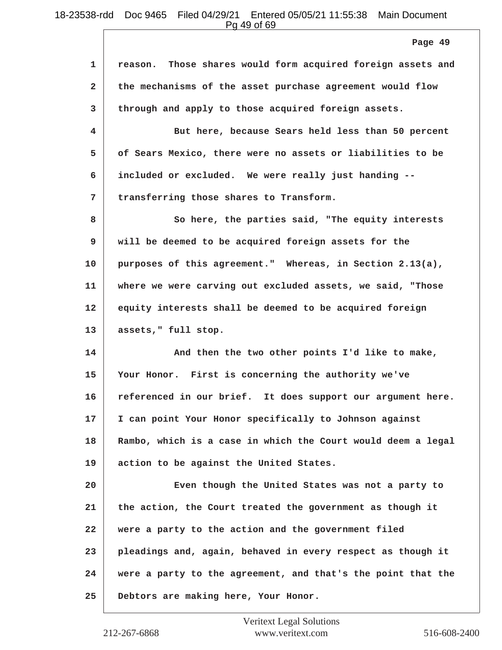Pg 49 of 69

**1 reason. Those shares would form acquired foreign assets and 2 the mechanisms of the asset purchase agreement would flow 3 through and apply to those acquired foreign assets. 4 But here, because Sears held less than 50 percent 5 of Sears Mexico, there were no assets or liabilities to be 6 included or excluded. We were really just handing -- 7 transferring those shares to Transform. 8 So here, the parties said, "The equity interests 9 will be deemed to be acquired foreign assets for the 10 purposes of this agreement." Whereas, in Section 2.13(a), 11 where we were carving out excluded assets, we said, "Those 12 equity interests shall be deemed to be acquired foreign 13 assets," full stop.** 14 **And then the two other points I'd like to make, 15 Your Honor. First is concerning the authority we've 16 referenced in our brief. It does support our argument here. 17 I can point Your Honor specifically to Johnson against 18 Rambo, which is a case in which the Court would deem a legal 19 action to be against the United States. 20 Even though the United States was not a party to 21 the action, the Court treated the government as though it 22 were a party to the action and the government filed 23 pleadings and, again, behaved in every respect as though it 24 were a party to the agreement, and that's the point that the 25 Debtors are making here, Your Honor. Page 49**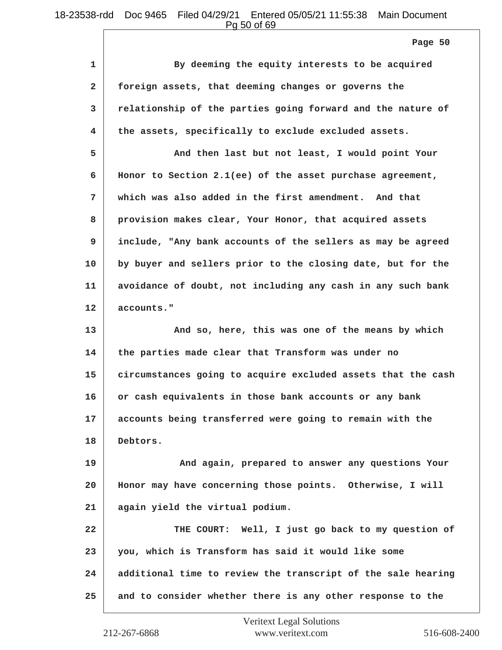Pg 50 of 69

**Page 50**

| 1            | By deeming the equity interests to be acquired               |
|--------------|--------------------------------------------------------------|
| $\mathbf{2}$ | foreign assets, that deeming changes or governs the          |
| 3            | relationship of the parties going forward and the nature of  |
| 4            | the assets, specifically to exclude excluded assets.         |
| 5            | And then last but not least, I would point Your              |
| 6            | Honor to Section 2.1(ee) of the asset purchase agreement,    |
| 7            | which was also added in the first amendment. And that        |
| 8            | provision makes clear, Your Honor, that acquired assets      |
| 9            | include, "Any bank accounts of the sellers as may be agreed  |
| 10           | by buyer and sellers prior to the closing date, but for the  |
| 11           | avoidance of doubt, not including any cash in any such bank  |
| 12           | accounts."                                                   |
| 13           | And so, here, this was one of the means by which             |
| 14           | the parties made clear that Transform was under no           |
| 15           | circumstances going to acquire excluded assets that the cash |
| 16           | or cash equivalents in those bank accounts or any bank       |
| 17           | accounts being transferred were going to remain with the     |
| 18           | Debtors.                                                     |
| 19           | And again, prepared to answer any questions Your             |
| 20           | Honor may have concerning those points. Otherwise, I will    |
| 21           | again yield the virtual podium.                              |
| 22           | THE COURT: Well, I just go back to my question of            |
| 23           | you, which is Transform has said it would like some          |
| 24           | additional time to review the transcript of the sale hearing |
| 25           | and to consider whether there is any other response to the   |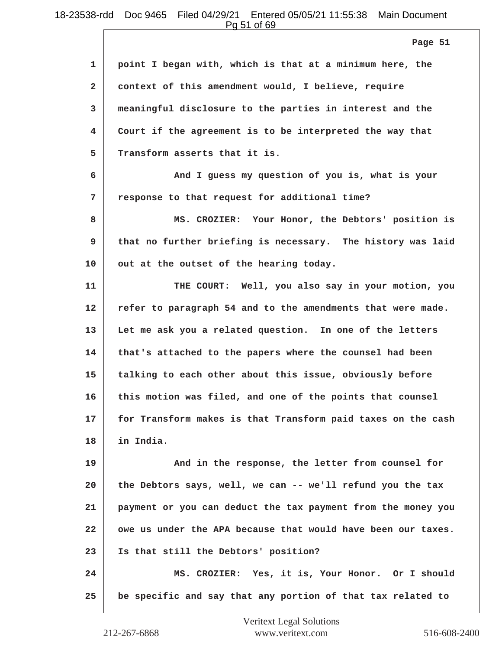Pg 51 of 69

|              | Page 51                                                      |
|--------------|--------------------------------------------------------------|
| 1            | point I began with, which is that at a minimum here, the     |
| $\mathbf{2}$ | context of this amendment would, I believe, require          |
| 3            | meaningful disclosure to the parties in interest and the     |
| 4            | Court if the agreement is to be interpreted the way that     |
| 5            | Transform asserts that it is.                                |
| 6            | And I guess my question of you is, what is your              |
| 7            | response to that request for additional time?                |
| 8            | MS. CROZIER: Your Honor, the Debtors' position is            |
| 9            | that no further briefing is necessary. The history was laid  |
| 10           | out at the outset of the hearing today.                      |
| 11           | THE COURT: Well, you also say in your motion, you            |
| 12           | refer to paragraph 54 and to the amendments that were made.  |
| 13           | Let me ask you a related question. In one of the letters     |
| 14           | that's attached to the papers where the counsel had been     |
| 15           | talking to each other about this issue, obviously before     |
| 16           | this motion was filed, and one of the points that counsel    |
| 17           | for Transform makes is that Transform paid taxes on the cash |
| 18           | in India.                                                    |
| 19           | And in the response, the letter from counsel for             |
| 20           | the Debtors says, well, we can -- we'll refund you the tax   |
| 21           | payment or you can deduct the tax payment from the money you |
| 22           | owe us under the APA because that would have been our taxes. |
| 23           | Is that still the Debtors' position?                         |
| 24           | MS. CROZIER: Yes, it is, Your Honor. Or I should             |
| 25           | be specific and say that any portion of that tax related to  |
|              |                                                              |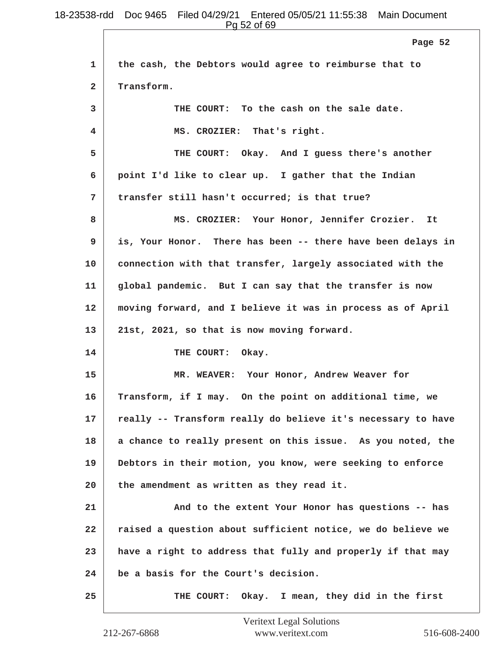Pg 52 of 69

|              | <u>IY JE VI VJ</u>                                           |
|--------------|--------------------------------------------------------------|
|              | Page 52                                                      |
| 1            | the cash, the Debtors would agree to reimburse that to       |
| $\mathbf{2}$ | Transform.                                                   |
| 3            | THE COURT: To the cash on the sale date.                     |
| 4            | MS. CROZIER: That's right.                                   |
| 5            | THE COURT: Okay. And I guess there's another                 |
| 6            | point I'd like to clear up. I gather that the Indian         |
| 7            | transfer still hasn't occurred; is that true?                |
| 8            | MS. CROZIER: Your Honor, Jennifer Crozier. It                |
| 9            | is, Your Honor. There has been -- there have been delays in  |
| 10           | connection with that transfer, largely associated with the   |
| 11           | global pandemic. But I can say that the transfer is now      |
| 12           | moving forward, and I believe it was in process as of April  |
| 13           | 21st, 2021, so that is now moving forward.                   |
| 14           | THE COURT: Okay.                                             |
| 15           | MR. WEAVER: Your Honor, Andrew Weaver for                    |
| 16           | Transform, if I may. On the point on additional time, we     |
| 17           | really -- Transform really do believe it's necessary to have |
| 18           | a chance to really present on this issue. As you noted, the  |
| 19           | Debtors in their motion, you know, were seeking to enforce   |
| 20           | the amendment as written as they read it.                    |
| 21           | And to the extent Your Honor has questions -- has            |
| 22           | raised a question about sufficient notice, we do believe we  |
| 23           | have a right to address that fully and properly if that may  |
| 24           | be a basis for the Court's decision.                         |
| 25           | Okay. I mean, they did in the first<br>THE COURT:            |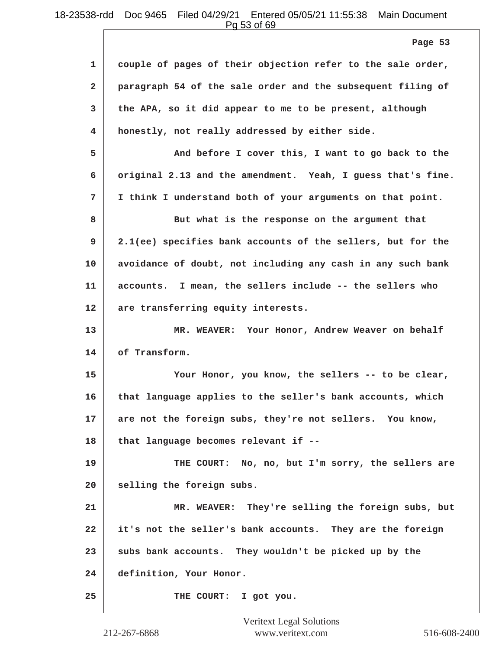Pg 53 of 69

|              | Page 53                                                     |
|--------------|-------------------------------------------------------------|
| 1            | couple of pages of their objection refer to the sale order, |
| $\mathbf{2}$ | paragraph 54 of the sale order and the subsequent filing of |
| 3            | the APA, so it did appear to me to be present, although     |
| 4            | honestly, not really addressed by either side.              |
| 5            | And before I cover this, I want to go back to the           |
| 6            | original 2.13 and the amendment. Yeah, I guess that's fine. |
| 7            | I think I understand both of your arguments on that point.  |
| 8            | But what is the response on the argument that               |
| 9            | 2.1(ee) specifies bank accounts of the sellers, but for the |
| 10           | avoidance of doubt, not including any cash in any such bank |
| 11           | accounts. I mean, the sellers include -- the sellers who    |
| 12           | are transferring equity interests.                          |
| 13           | MR. WEAVER: Your Honor, Andrew Weaver on behalf             |
| 14           | of Transform.                                               |
| 15           | Your Honor, you know, the sellers -- to be clear,           |
| 16           | that language applies to the seller's bank accounts, which  |
| 17           | are not the foreign subs, they're not sellers. You know,    |
| 18           | that language becomes relevant if --                        |
| 19           | THE COURT: No, no, but I'm sorry, the sellers are           |
| 20           | selling the foreign subs.                                   |
| 21           | MR. WEAVER: They're selling the foreign subs, but           |
| 22           | it's not the seller's bank accounts. They are the foreign   |
| 23           | subs bank accounts. They wouldn't be picked up by the       |
| 24           | definition, Your Honor.                                     |
| 25           | THE COURT: I got you.                                       |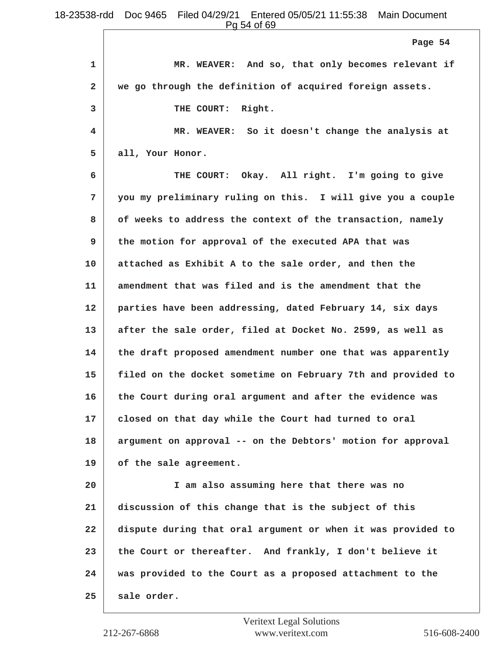**1 MR. WEAVER: And so, that only becomes relevant if 2 we go through the definition of acquired foreign assets. 3 THE COURT: Right. 4 MR. WEAVER: So it doesn't change the analysis at 5 all, Your Honor. 6 THE COURT: Okay. All right. I'm going to give 7 you my preliminary ruling on this. I will give you a couple 8 of weeks to address the context of the transaction, namely 9 the motion for approval of the executed APA that was 10 attached as Exhibit A to the sale order, and then the 11 amendment that was filed and is the amendment that the 12 parties have been addressing, dated February 14, six days 13 after the sale order, filed at Docket No. 2599, as well as 14 the draft proposed amendment number one that was apparently 15 filed on the docket sometime on February 7th and provided to 16 the Court during oral argument and after the evidence was 17 closed on that day while the Court had turned to oral 18 argument on approval -- on the Debtors' motion for approval 19 of the sale agreement. 20 I am also assuming here that there was no 21 discussion of this change that is the subject of this 22 dispute during that oral argument or when it was provided to 23 the Court or thereafter. And frankly, I don't believe it 24 was provided to the Court as a proposed attachment to the 25 sale order. Page 54**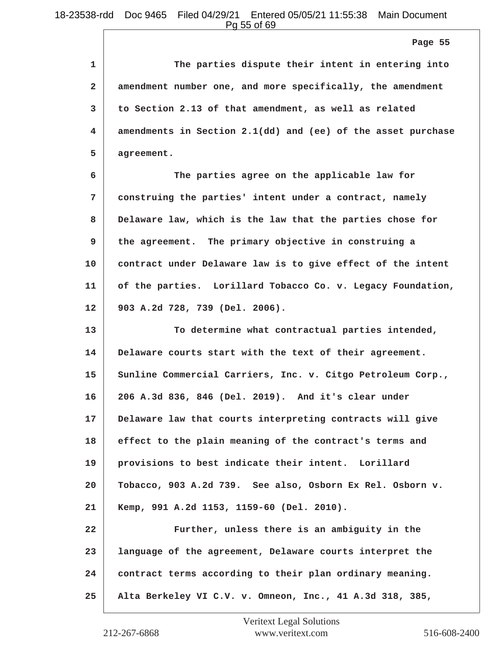**Page 55**

| $\mathbf{1}$   | The parties dispute their intent in entering into            |
|----------------|--------------------------------------------------------------|
| $\overline{2}$ | amendment number one, and more specifically, the amendment   |
| 3              | to Section 2.13 of that amendment, as well as related        |
| 4              | amendments in Section 2.1(dd) and (ee) of the asset purchase |
| 5              | agreement.                                                   |
| 6              | The parties agree on the applicable law for                  |

**7 construing the parties' intent under a contract, namely 8 Delaware law, which is the law that the parties chose for 9 the agreement. The primary objective in construing a 10 contract under Delaware law is to give effect of the intent 11 of the parties. Lorillard Tobacco Co. v. Legacy Foundation, 12 903 A.2d 728, 739 (Del. 2006).**

**13 To determine what contractual parties intended, 14 Delaware courts start with the text of their agreement. 15 Sunline Commercial Carriers, Inc. v. Citgo Petroleum Corp., 16 206 A.3d 836, 846 (Del. 2019). And it's clear under 17 Delaware law that courts interpreting contracts will give 18 effect to the plain meaning of the contract's terms and 19 provisions to best indicate their intent. Lorillard 20 Tobacco, 903 A.2d 739. See also, Osborn Ex Rel. Osborn v. 21 Kemp, 991 A.2d 1153, 1159-60 (Del. 2010). 22 Further, unless there is an ambiguity in the 23 language of the agreement, Delaware courts interpret the**

**24 contract terms according to their plan ordinary meaning.**

**25 Alta Berkeley VI C.V. v. Omneon, Inc., 41 A.3d 318, 385,**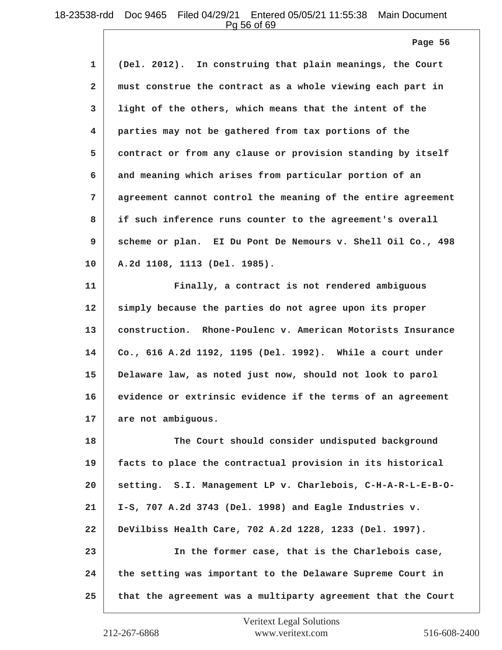Pg 56 of 69

**1 (Del. 2012). In construing that plain meanings, the Court 2 must construe the contract as a whole viewing each part in 3 light of the others, which means that the intent of the 4 parties may not be gathered from tax portions of the 5 contract or from any clause or provision standing by itself 6 and meaning which arises from particular portion of an 7 agreement cannot control the meaning of the entire agreement 8 if such inference runs counter to the agreement's overall 9 scheme or plan. EI Du Pont De Nemours v. Shell Oil Co., 498 10 A.2d 1108, 1113 (Del. 1985). 11 Finally, a contract is not rendered ambiguous 12 simply because the parties do not agree upon its proper 13 construction. Rhone-Poulenc v. American Motorists Insurance Page 56**

**14 Co., 616 A.2d 1192, 1195 (Del. 1992). While a court under 15 Delaware law, as noted just now, should not look to parol 16 evidence or extrinsic evidence if the terms of an agreement 17 are not ambiguous.**

**18 The Court should consider undisputed background 19 facts to place the contractual provision in its historical 20 setting. S.I. Management LP v. Charlebois, C-H-A-R-L-E-B-O-21 I-S, 707 A.2d 3743 (Del. 1998) and Eagle Industries v. 22 DeVilbiss Health Care, 702 A.2d 1228, 1233 (Del. 1997). 23 In the former case, that is the Charlebois case, 24 the setting was important to the Delaware Supreme Court in 25 that the agreement was a multiparty agreement that the Court**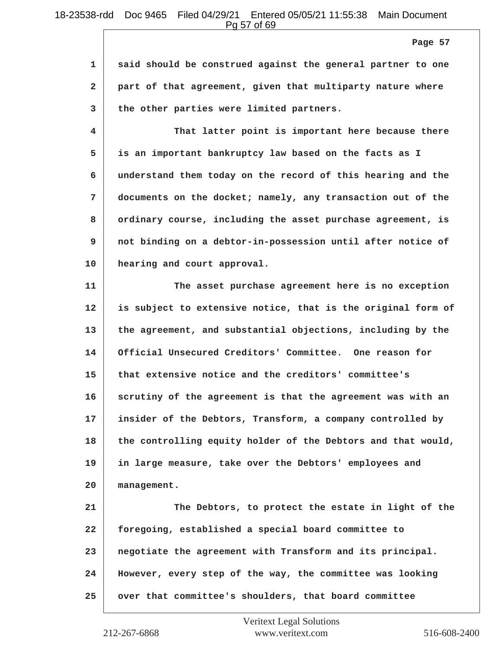Pg 57 of 69

| 1   said should be construed against the general partner to one |
|-----------------------------------------------------------------|
| 2 part of that agreement, given that multiparty nature where    |
| 3 the other parties were limited partners.                      |

**4 That latter point is important here because there 5 is an important bankruptcy law based on the facts as I 6 understand them today on the record of this hearing and the 7 documents on the docket; namely, any transaction out of the 8 ordinary course, including the asset purchase agreement, is 9 not binding on a debtor-in-possession until after notice of 10 hearing and court approval.**

**11 The asset purchase agreement here is no exception 12 is subject to extensive notice, that is the original form of 13 the agreement, and substantial objections, including by the 14 Official Unsecured Creditors' Committee. One reason for 15 that extensive notice and the creditors' committee's 16 scrutiny of the agreement is that the agreement was with an 17 insider of the Debtors, Transform, a company controlled by 18 the controlling equity holder of the Debtors and that would, 19 in large measure, take over the Debtors' employees and 20 management. 21 The Debtors, to protect the estate in light of the 22 foregoing, established a special board committee to 23 negotiate the agreement with Transform and its principal. 24 However, every step of the way, the committee was looking**

**25 over that committee's shoulders, that board committee**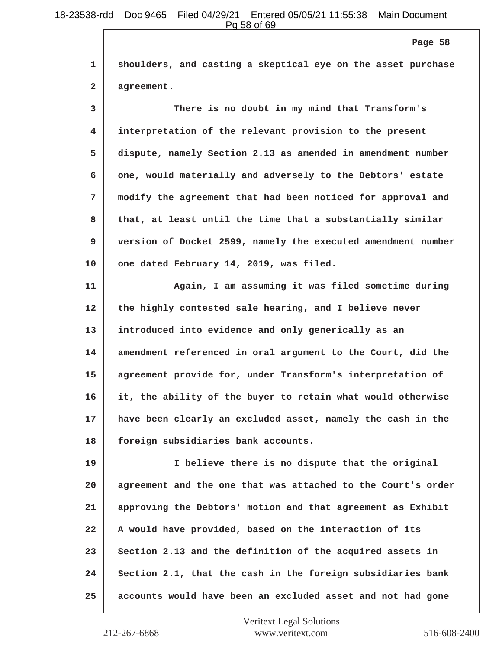**1 shoulders, and casting a skeptical eye on the asset purchase Page 58**

**2 agreement.**

**3 There is no doubt in my mind that Transform's 4 interpretation of the relevant provision to the present 5 dispute, namely Section 2.13 as amended in amendment number 6 one, would materially and adversely to the Debtors' estate 7 modify the agreement that had been noticed for approval and 8 that, at least until the time that a substantially similar 9 version of Docket 2599, namely the executed amendment number 10 one dated February 14, 2019, was filed.**

**11 Again, I am assuming it was filed sometime during 12 the highly contested sale hearing, and I believe never 13 introduced into evidence and only generically as an 14 amendment referenced in oral argument to the Court, did the 15 agreement provide for, under Transform's interpretation of 16 it, the ability of the buyer to retain what would otherwise 17 have been clearly an excluded asset, namely the cash in the 18 foreign subsidiaries bank accounts.**

**19 I believe there is no dispute that the original 20 agreement and the one that was attached to the Court's order 21 approving the Debtors' motion and that agreement as Exhibit 22 A would have provided, based on the interaction of its** 23 Section 2.13 and the definition of the acquired assets in **24 Section 2.1, that the cash in the foreign subsidiaries bank 25 accounts would have been an excluded asset and not had gone**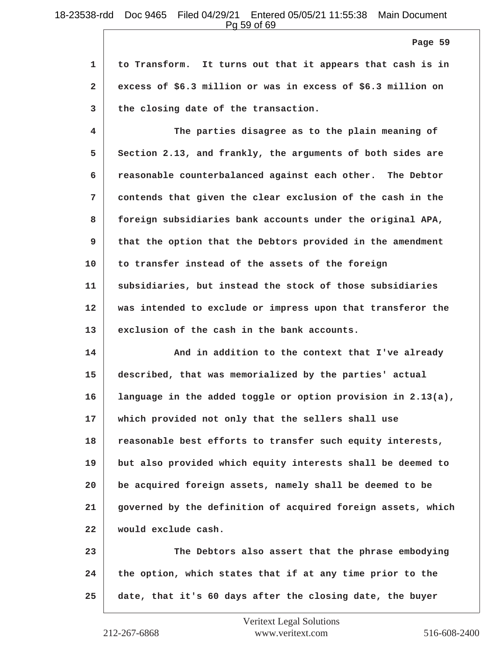Pg 59 of 69

**Page 59**

**1 to Transform. It turns out that it appears that cash is in 2 excess of \$6.3 million or was in excess of \$6.3 million on 3 the closing date of the transaction.**

**4 The parties disagree as to the plain meaning of 5 Section 2.13, and frankly, the arguments of both sides are 6 reasonable counterbalanced against each other. The Debtor 7 contends that given the clear exclusion of the cash in the 8 foreign subsidiaries bank accounts under the original APA, 9 that the option that the Debtors provided in the amendment 10 to transfer instead of the assets of the foreign 11 subsidiaries, but instead the stock of those subsidiaries 12 was intended to exclude or impress upon that transferor the 13 exclusion of the cash in the bank accounts.**

**14 And in addition to the context that I've already 15 described, that was memorialized by the parties' actual 16 language in the added toggle or option provision in 2.13(a), 17 which provided not only that the sellers shall use 18 reasonable best efforts to transfer such equity interests, 19 but also provided which equity interests shall be deemed to 20 be acquired foreign assets, namely shall be deemed to be 21 governed by the definition of acquired foreign assets, which 22 would exclude cash.**

**23 The Debtors also assert that the phrase embodying 24 the option, which states that if at any time prior to the 25 date, that it's 60 days after the closing date, the buyer**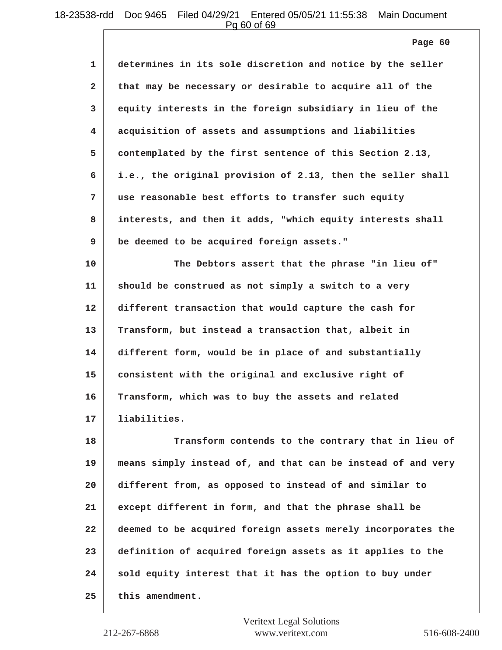Pg 60 of 69

**1 determines in its sole discretion and notice by the seller 2 that may be necessary or desirable to acquire all of the 3 equity interests in the foreign subsidiary in lieu of the 4 acquisition of assets and assumptions and liabilities 5 contemplated by the first sentence of this Section 2.13, 6 i.e., the original provision of 2.13, then the seller shall 7 use reasonable best efforts to transfer such equity 8 interests, and then it adds, "which equity interests shall 9 be deemed to be acquired foreign assets."**

**10 The Debtors assert that the phrase "in lieu of" 11 should be construed as not simply a switch to a very 12 different transaction that would capture the cash for 13 Transform, but instead a transaction that, albeit in 14 different form, would be in place of and substantially 15 consistent with the original and exclusive right of 16 Transform, which was to buy the assets and related 17 liabilities.**

**18 Transform contends to the contrary that in lieu of 19 means simply instead of, and that can be instead of and very 20 different from, as opposed to instead of and similar to 21 except different in form, and that the phrase shall be 22 deemed to be acquired foreign assets merely incorporates the 23 definition of acquired foreign assets as it applies to the** 24 sold equity interest that it has the option to buy under **25 this amendment.**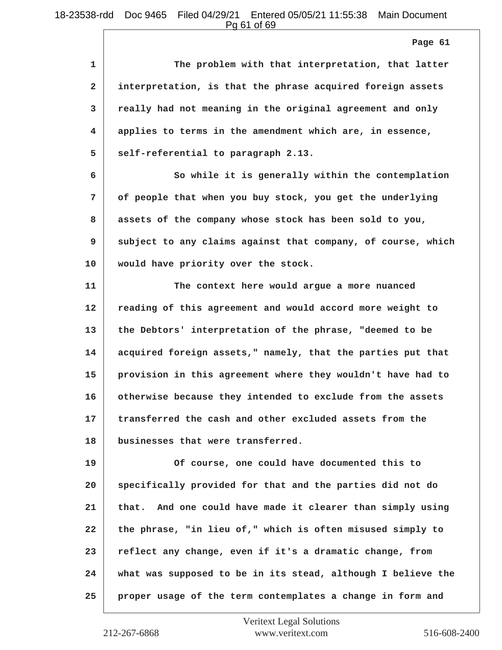Pg 61 of 69

**Page 61**

| 1              | The problem with that interpretation, that latter          |
|----------------|------------------------------------------------------------|
| $\overline{2}$ | interpretation, is that the phrase acquired foreign assets |
| $\mathbf{3}$   | really had not meaning in the original agreement and only  |
| $\overline{4}$ | applies to terms in the amendment which are, in essence,   |
| 5              | self-referential to paragraph 2.13.                        |
| 6              | So while it is generally within the contemplation          |
| 7              | of people that when you buy stock, you get the underlying  |
|                |                                                            |

**9 subject to any claims against that company, of course, which 10 would have priority over the stock.**

**8 assets of the company whose stock has been sold to you,**

**11 The context here would argue a more nuanced 12 reading of this agreement and would accord more weight to 13 the Debtors' interpretation of the phrase, "deemed to be 14 acquired foreign assets," namely, that the parties put that 15 provision in this agreement where they wouldn't have had to 16 otherwise because they intended to exclude from the assets 17 transferred the cash and other excluded assets from the 18 businesses that were transferred.**

**19 Of course, one could have documented this to 20 specifically provided for that and the parties did not do 21 that. And one could have made it clearer than simply using 22 the phrase, "in lieu of," which is often misused simply to 23 reflect any change, even if it's a dramatic change, from 24 what was supposed to be in its stead, although I believe the 25 proper usage of the term contemplates a change in form and**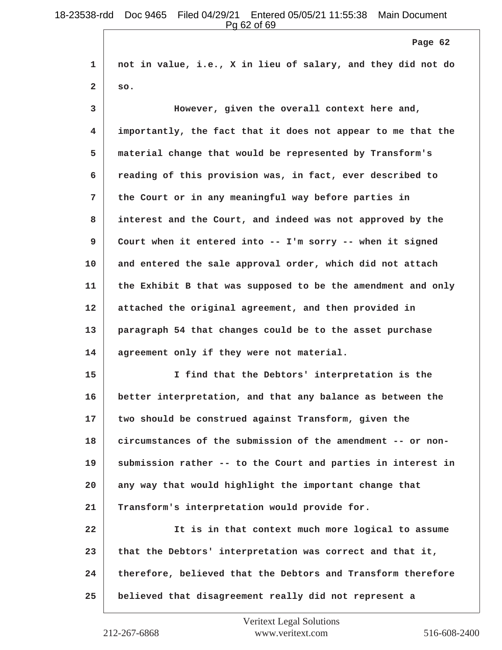**1 not in value, i.e., X in lieu of salary, and they did not do 2 so. 3 However, given the overall context here and, 4 importantly, the fact that it does not appear to me that the 5 material change that would be represented by Transform's 6 reading of this provision was, in fact, ever described to 7 the Court or in any meaningful way before parties in 8 interest and the Court, and indeed was not approved by the 9 Court when it entered into -- I'm sorry -- when it signed 10 and entered the sale approval order, which did not attach 11 the Exhibit B that was supposed to be the amendment and only 12 attached the original agreement, and then provided in 13 paragraph 54 that changes could be to the asset purchase 14 agreement only if they were not material. 15 I find that the Debtors' interpretation is the 16 better interpretation, and that any balance as between the 17 two should be construed against Transform, given the 18 circumstances of the submission of the amendment -- or non-19 submission rather -- to the Court and parties in interest in 20 any way that would highlight the important change that 21 Transform's interpretation would provide for. 22 It is in that context much more logical to assume 23 that the Debtors' interpretation was correct and that it, 24 therefore, believed that the Debtors and Transform therefore Page 62**

```
25 believed that disagreement really did not represent a
```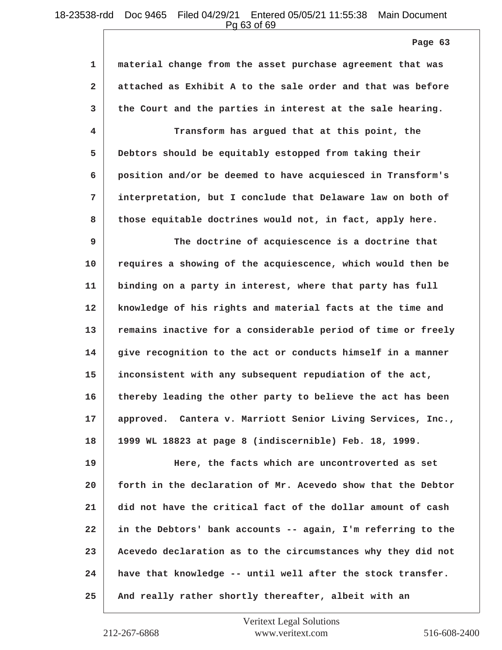Pg 63 of 69

**1 material change from the asset purchase agreement that was 2 attached as Exhibit A to the sale order and that was before 3 the Court and the parties in interest at the sale hearing. 4 Transform has argued that at this point, the 5 Debtors should be equitably estopped from taking their 6 position and/or be deemed to have acquiesced in Transform's 7 interpretation, but I conclude that Delaware law on both of 8 those equitable doctrines would not, in fact, apply here. 9 The doctrine of acquiescence is a doctrine that 10 requires a showing of the acquiescence, which would then be 11 binding on a party in interest, where that party has full 12 knowledge of his rights and material facts at the time and 13 remains inactive for a considerable period of time or freely 14 give recognition to the act or conducts himself in a manner 15 inconsistent with any subsequent repudiation of the act, 16 thereby leading the other party to believe the act has been 17 approved. Cantera v. Marriott Senior Living Services, Inc., 18 1999 WL 18823 at page 8 (indiscernible) Feb. 18, 1999. 19 Here, the facts which are uncontroverted as set 20 forth in the declaration of Mr. Acevedo show that the Debtor 21 did not have the critical fact of the dollar amount of cash 22 in the Debtors' bank accounts -- again, I'm referring to the 23 Acevedo declaration as to the circumstances why they did not 24 have that knowledge -- until well after the stock transfer. 25 And really rather shortly thereafter, albeit with an Page 63**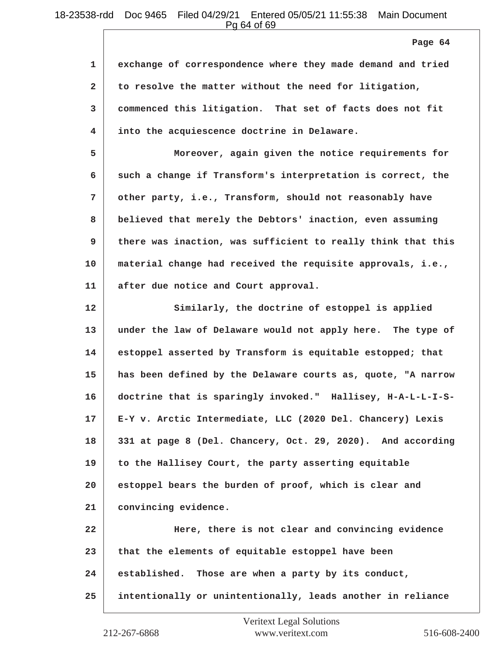Pg 64 of 69

**1 exchange of correspondence where they made demand and tried 2 to resolve the matter without the need for litigation, 3 commenced this litigation. That set of facts does not fit 4 into the acquiescence doctrine in Delaware. 5 Moreover, again given the notice requirements for 6 such a change if Transform's interpretation is correct, the 7 other party, i.e., Transform, should not reasonably have 8 believed that merely the Debtors' inaction, even assuming 9 there was inaction, was sufficient to really think that this 10 material change had received the requisite approvals, i.e., 11 after due notice and Court approval. 12 Similarly, the doctrine of estoppel is applied 13 under the law of Delaware would not apply here. The type of 14 estoppel asserted by Transform is equitable estopped; that 15 has been defined by the Delaware courts as, quote, "A narrow 16 doctrine that is sparingly invoked." Hallisey, H-A-L-L-I-S-17 E-Y v. Arctic Intermediate, LLC (2020 Del. Chancery) Lexis 18 331 at page 8 (Del. Chancery, Oct. 29, 2020). And according 19 to the Hallisey Court, the party asserting equitable 20 estoppel bears the burden of proof, which is clear and 21 convincing evidence. 22 Here, there is not clear and convincing evidence 23 that the elements of equitable estoppel have been 24 established. Those are when a party by its conduct, 25 intentionally or unintentionally, leads another in reliance Page 64**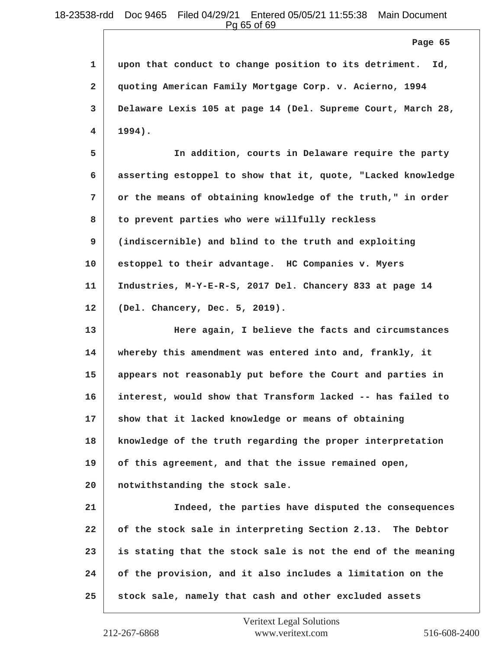Pg 65 of 69

**1 upon that conduct to change position to its detriment. Id, 2 quoting American Family Mortgage Corp. v. Acierno, 1994 3 Delaware Lexis 105 at page 14 (Del. Supreme Court, March 28, 4 1994).**

**5 In addition, courts in Delaware require the party 6 asserting estoppel to show that it, quote, "Lacked knowledge 7 or the means of obtaining knowledge of the truth," in order 8 to prevent parties who were willfully reckless 9 (indiscernible) and blind to the truth and exploiting 10 estoppel to their advantage. HC Companies v. Myers 11 Industries, M-Y-E-R-S, 2017 Del. Chancery 833 at page 14 12 (Del. Chancery, Dec. 5, 2019).**

**13 Here again, I believe the facts and circumstances 14 whereby this amendment was entered into and, frankly, it 15 appears not reasonably put before the Court and parties in 16 interest, would show that Transform lacked -- has failed to 17 show that it lacked knowledge or means of obtaining 18 knowledge of the truth regarding the proper interpretation 19 of this agreement, and that the issue remained open, 20 notwithstanding the stock sale. 21 Indeed, the parties have disputed the consequences 22 of the stock sale in interpreting Section 2.13. The Debtor 23 is stating that the stock sale is not the end of the meaning 24 of the provision, and it also includes a limitation on the 25 stock sale, namely that cash and other excluded assets**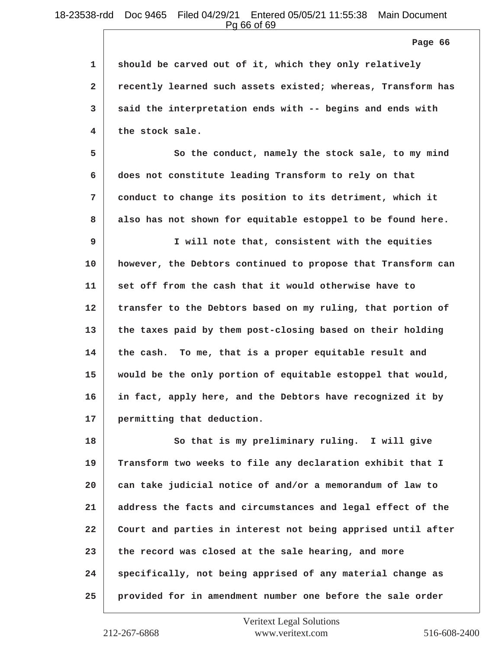Pg 66 of 69

**1 should be carved out of it, which they only relatively 2 recently learned such assets existed; whereas, Transform has 3 said the interpretation ends with -- begins and ends with 4 the stock sale.**

**5** So the conduct, namely the stock sale, to my mind **6 does not constitute leading Transform to rely on that 7 conduct to change its position to its detriment, which it 8 also has not shown for equitable estoppel to be found here.**

**9 I will note that, consistent with the equities 10 however, the Debtors continued to propose that Transform can 11 set off from the cash that it would otherwise have to 12 transfer to the Debtors based on my ruling, that portion of 13 the taxes paid by them post-closing based on their holding 14 the cash. To me, that is a proper equitable result and 15 would be the only portion of equitable estoppel that would, 16 in fact, apply here, and the Debtors have recognized it by 17 permitting that deduction.**

18 So that is my preliminary ruling. I will give **19 Transform two weeks to file any declaration exhibit that I 20 can take judicial notice of and/or a memorandum of law to 21 address the facts and circumstances and legal effect of the 22 Court and parties in interest not being apprised until after 23 the record was closed at the sale hearing, and more 24 specifically, not being apprised of any material change as 25 provided for in amendment number one before the sale order**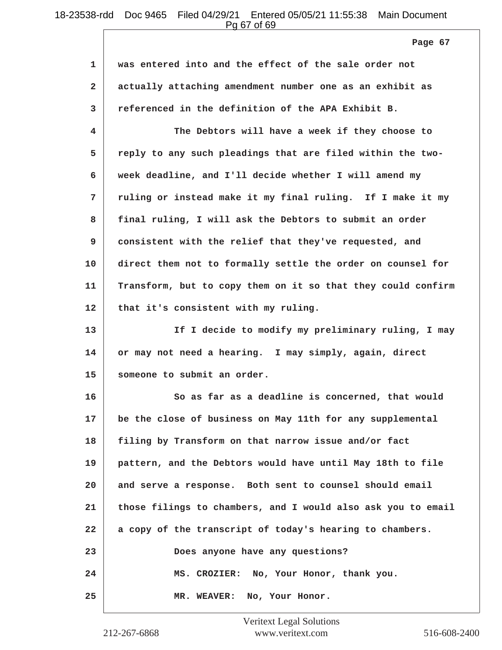Pg 67 of 69

**1 was entered into and the effect of the sale order not 2 actually attaching amendment number one as an exhibit as 3 referenced in the definition of the APA Exhibit B. 4 The Debtors will have a week if they choose to 5 reply to any such pleadings that are filed within the two-6 week deadline, and I'll decide whether I will amend my 7 ruling or instead make it my final ruling. If I make it my 8 final ruling, I will ask the Debtors to submit an order 9 consistent with the relief that they've requested, and 10 direct them not to formally settle the order on counsel for 11 Transform, but to copy them on it so that they could confirm** 12 that it's consistent with my ruling. **13 If I decide to modify my preliminary ruling, I may 14 or may not need a hearing. I may simply, again, direct 15 someone to submit an order. 16** So as far as a deadline is concerned, that would **17 be the close of business on May 11th for any supplemental 18 filing by Transform on that narrow issue and/or fact 19 pattern, and the Debtors would have until May 18th to file 20 and serve a response. Both sent to counsel should email 21 those filings to chambers, and I would also ask you to email 22 a copy of the transcript of today's hearing to chambers. 23 Does anyone have any questions? 24 MS. CROZIER: No, Your Honor, thank you. 25 MR. WEAVER: No, Your Honor. Page 67**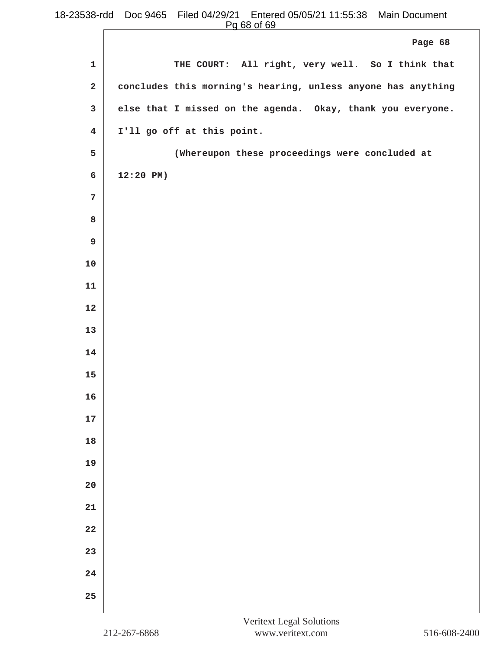$\sqrt{2}$ 

|                         | Page 68                                                      |
|-------------------------|--------------------------------------------------------------|
| $\mathbf{1}$            | THE COURT: All right, very well. So I think that             |
| $\mathbf{2}$            | concludes this morning's hearing, unless anyone has anything |
| 3                       | else that I missed on the agenda. Okay, thank you everyone.  |
| $\overline{\mathbf{4}}$ | I'll go off at this point.                                   |
| 5                       | (Whereupon these proceedings were concluded at               |
| 6                       | $12:20$ PM)                                                  |
| $\overline{7}$          |                                                              |
| 8                       |                                                              |
| 9                       |                                                              |
| $10$                    |                                                              |
| $11\,$                  |                                                              |
| 12                      |                                                              |
| 13                      |                                                              |
| 14                      |                                                              |
| 15                      |                                                              |
| 16                      |                                                              |
| $17$                    |                                                              |
| 18                      |                                                              |
| 19                      |                                                              |
| $20$                    |                                                              |
| ${\bf 21}$              |                                                              |
| 22                      |                                                              |
| 23                      |                                                              |
| 24                      |                                                              |
| 25                      |                                                              |
|                         |                                                              |